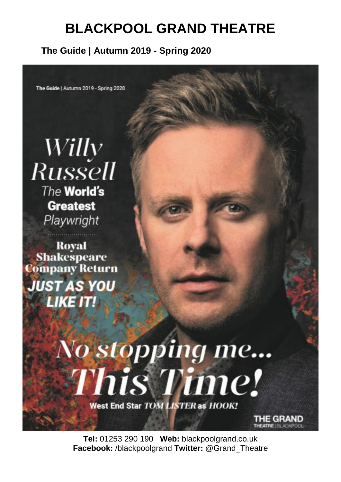#### **The Guide | Autumn 2019 - Spring 2020**

The Guide | Autumn 2019 - Spring 2020

Willy **Russell** The World's **Greatest** Playwright

**Royal Shakespeare** Company Return **JUST AS YOU LIKE IT!** 

# No stopping me... **This Time!**

West End Star TOM LISTER as HOOK!

**Tel:** 01253 290 190 **Web:** blackpoolgrand.co.uk **Facebook:** /blackpoolgrand **Twitter:** @Grand\_Theatre

**IE GRAND**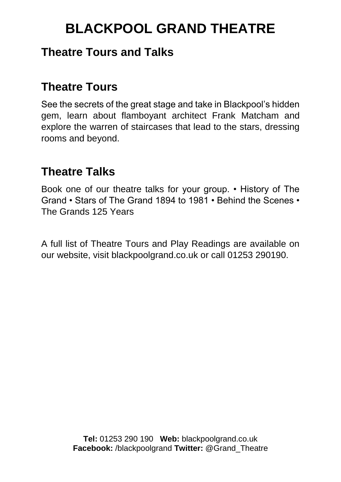### **Theatre Tours and Talks**

### **Theatre Tours**

See the secrets of the great stage and take in Blackpool's hidden gem, learn about flamboyant architect Frank Matcham and explore the warren of staircases that lead to the stars, dressing rooms and beyond.

### **Theatre Talks**

Book one of our theatre talks for your group. • History of The Grand • Stars of The Grand 1894 to 1981 • Behind the Scenes • The Grands 125 Years

A full list of Theatre Tours and Play Readings are available on our website, visit blackpoolgrand.co.uk or call 01253 290190.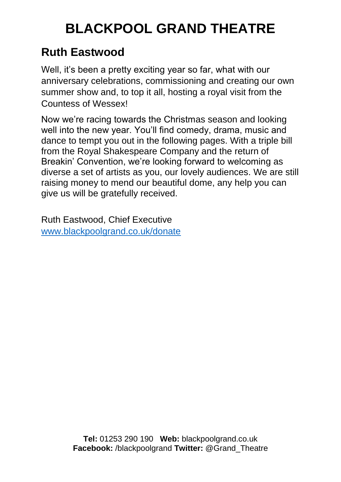### **Ruth Eastwood**

Well, it's been a pretty exciting year so far, what with our anniversary celebrations, commissioning and creating our own summer show and, to top it all, hosting a royal visit from the Countess of Wessex!

Now we're racing towards the Christmas season and looking well into the new year. You'll find comedy, drama, music and dance to tempt you out in the following pages. With a triple bill from the Royal Shakespeare Company and the return of Breakin' Convention, we're looking forward to welcoming as diverse a set of artists as you, our lovely audiences. We are still raising money to mend our beautiful dome, any help you can give us will be gratefully received.

Ruth Eastwood, Chief Executive [www.blackpoolgrand.co.uk/donate](http://www.blackpoolgrand.co.uk/donate)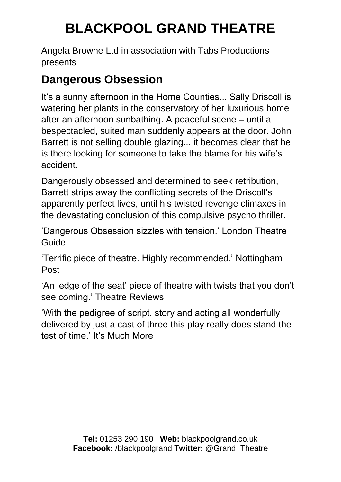Angela Browne Ltd in association with Tabs Productions presents

### **Dangerous Obsession**

It's a sunny afternoon in the Home Counties... Sally Driscoll is watering her plants in the conservatory of her luxurious home after an afternoon sunbathing. A peaceful scene – until a bespectacled, suited man suddenly appears at the door. John Barrett is not selling double glazing... it becomes clear that he is there looking for someone to take the blame for his wife's accident.

Dangerously obsessed and determined to seek retribution, Barrett strips away the conflicting secrets of the Driscoll's apparently perfect lives, until his twisted revenge climaxes in the devastating conclusion of this compulsive psycho thriller.

'Dangerous Obsession sizzles with tension.' London Theatre Guide

'Terrific piece of theatre. Highly recommended.' Nottingham Post

'An 'edge of the seat' piece of theatre with twists that you don't see coming.' Theatre Reviews

'With the pedigree of script, story and acting all wonderfully delivered by just a cast of three this play really does stand the test of time.' It's Much More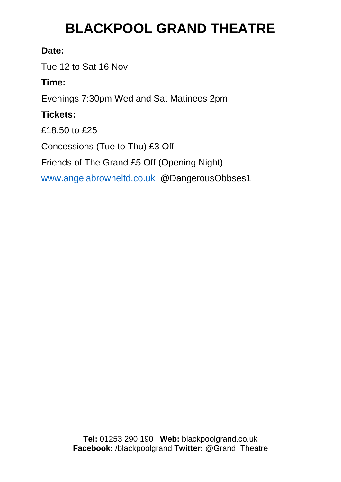#### **Date:**

Tue 12 to Sat 16 Nov

### **Time:**

Evenings 7:30pm Wed and Sat Matinees 2pm

### **Tickets:**

£18.50 to £25

Concessions (Tue to Thu) £3 Off

Friends of The Grand £5 Off (Opening Night)

[www.angelabrowneltd.co.uk](http://www.angelabrowneltd.co.uk/) @DangerousObbses1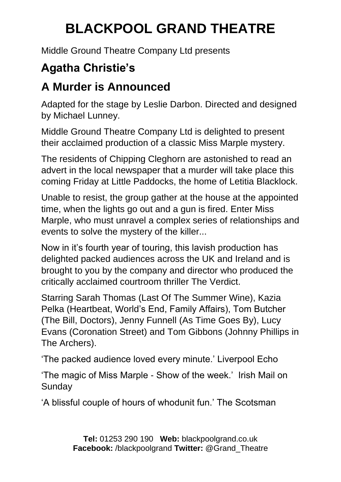Middle Ground Theatre Company Ltd presents

### **Agatha Christie's**

### **A Murder is Announced**

Adapted for the stage by Leslie Darbon. Directed and designed by Michael Lunney.

Middle Ground Theatre Company Ltd is delighted to present their acclaimed production of a classic Miss Marple mystery.

The residents of Chipping Cleghorn are astonished to read an advert in the local newspaper that a murder will take place this coming Friday at Little Paddocks, the home of Letitia Blacklock.

Unable to resist, the group gather at the house at the appointed time, when the lights go out and a gun is fired. Enter Miss Marple, who must unravel a complex series of relationships and events to solve the mystery of the killer...

Now in it's fourth year of touring, this lavish production has delighted packed audiences across the UK and Ireland and is brought to you by the company and director who produced the critically acclaimed courtroom thriller The Verdict.

Starring Sarah Thomas (Last Of The Summer Wine), Kazia Pelka (Heartbeat, World's End, Family Affairs), Tom Butcher (The Bill, Doctors), Jenny Funnell (As Time Goes By), Lucy Evans (Coronation Street) and Tom Gibbons (Johnny Phillips in The Archers).

'The packed audience loved every minute.' Liverpool Echo

'The magic of Miss Marple - Show of the week.' Irish Mail on Sunday

'A blissful couple of hours of whodunit fun.' The Scotsman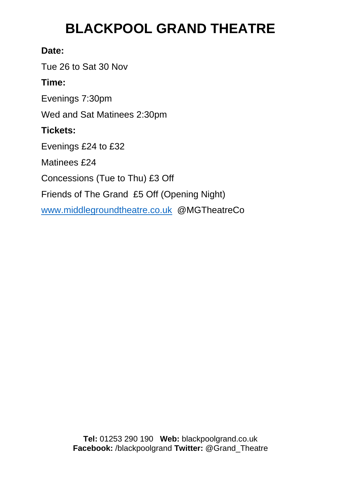#### **Date:**

Tue 26 to Sat 30 Nov

#### **Time:**

Evenings 7:30pm

Wed and Sat Matinees 2:30pm

#### **Tickets:**

Evenings £24 to £32

Matinees £24

Concessions (Tue to Thu) £3 Off

Friends of The Grand £5 Off (Opening Night)

[www.middlegroundtheatre.co.uk](http://www.middlegroundtheatre.co.uk/) @MGTheatreCo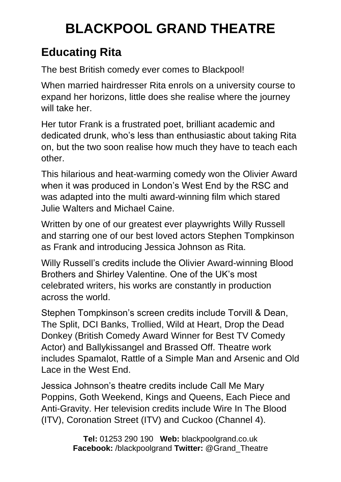### **Educating Rita**

The best British comedy ever comes to Blackpool!

When married hairdresser Rita enrols on a university course to expand her horizons, little does she realise where the journey will take her.

Her tutor Frank is a frustrated poet, brilliant academic and dedicated drunk, who's less than enthusiastic about taking Rita on, but the two soon realise how much they have to teach each other.

This hilarious and heat-warming comedy won the Olivier Award when it was produced in London's West End by the RSC and was adapted into the multi award-winning film which stared Julie Walters and Michael Caine.

Written by one of our greatest ever playwrights Willy Russell and starring one of our best loved actors Stephen Tompkinson as Frank and introducing Jessica Johnson as Rita.

Willy Russell's credits include the Olivier Award-winning Blood Brothers and Shirley Valentine. One of the UK's most celebrated writers, his works are constantly in production across the world.

Stephen Tompkinson's screen credits include Torvill & Dean, The Split, DCI Banks, Trollied, Wild at Heart, Drop the Dead Donkey (British Comedy Award Winner for Best TV Comedy Actor) and Ballykissangel and Brassed Off. Theatre work includes Spamalot, Rattle of a Simple Man and Arsenic and Old Lace in the West End.

Jessica Johnson's theatre credits include Call Me Mary Poppins, Goth Weekend, Kings and Queens, Each Piece and Anti-Gravity. Her television credits include Wire In The Blood (ITV), Coronation Street (ITV) and Cuckoo (Channel 4).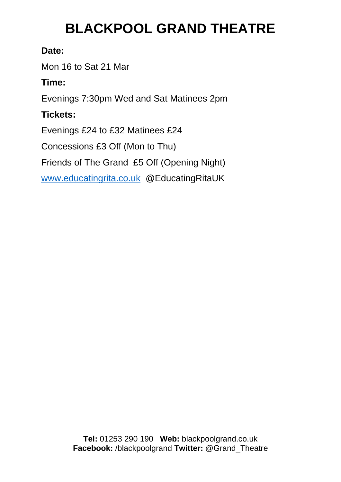#### **Date:**

Mon 16 to Sat 21 Mar

### **Time:**

Evenings 7:30pm Wed and Sat Matinees 2pm

### **Tickets:**

Evenings £24 to £32 Matinees £24

Concessions £3 Off (Mon to Thu)

Friends of The Grand £5 Off (Opening Night)

[www.educatingrita.co.uk](http://www.educatingrita.co.uk/) @EducatingRitaUK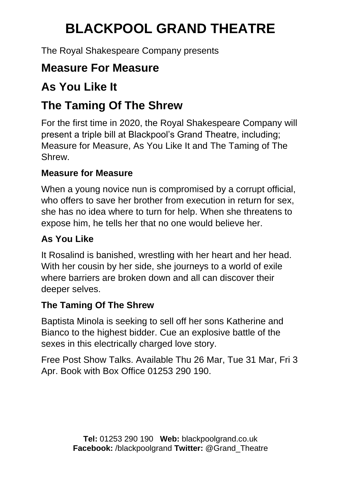The Royal Shakespeare Company presents

### **Measure For Measure**

### **As You Like It**

### **The Taming Of The Shrew**

For the first time in 2020, the Royal Shakespeare Company will present a triple bill at Blackpool's Grand Theatre, including; Measure for Measure, As You Like It and The Taming of The Shrew.

### **Measure for Measure**

When a young novice nun is compromised by a corrupt official, who offers to save her brother from execution in return for sex, she has no idea where to turn for help. When she threatens to expose him, he tells her that no one would believe her.

### **As You Like**

It Rosalind is banished, wrestling with her heart and her head. With her cousin by her side, she journeys to a world of exile where barriers are broken down and all can discover their deeper selves.

### **The Taming Of The Shrew**

Baptista Minola is seeking to sell off her sons Katherine and Bianco to the highest bidder. Cue an explosive battle of the sexes in this electrically charged love story.

Free Post Show Talks. Available Thu 26 Mar, Tue 31 Mar, Fri 3 Apr. Book with Box Office 01253 290 190.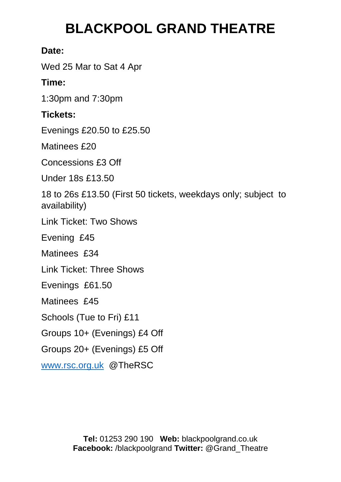#### **Date:**

Wed 25 Mar to Sat 4 Apr

### **Time:**

1:30pm and 7:30pm

### **Tickets:**

Evenings £20.50 to £25.50

Matinees £20

Concessions £3 Off

Under 18s £13.50

18 to 26s £13.50 (First 50 tickets, weekdays only; subject to availability)

Link Ticket: Two Shows

Evening £45

Matinees £34

Link Ticket: Three Shows

Evenings £61.50

Matinees £45

Schools (Tue to Fri) £11

Groups 10+ (Evenings) £4 Off

Groups 20+ (Evenings) £5 Off

[www.rsc.org.uk](http://www.rsc.org.uk/) @TheRSC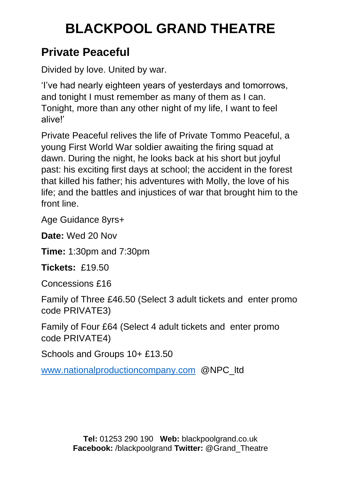### **Private Peaceful**

Divided by love. United by war.

'I've had nearly eighteen years of yesterdays and tomorrows, and tonight I must remember as many of them as I can. Tonight, more than any other night of my life, I want to feel alive!'

Private Peaceful relives the life of Private Tommo Peaceful, a young First World War soldier awaiting the firing squad at dawn. During the night, he looks back at his short but joyful past: his exciting first days at school; the accident in the forest that killed his father; his adventures with Molly, the love of his life; and the battles and injustices of war that brought him to the front line.

Age Guidance 8yrs+

**Date:** Wed 20 Nov

**Time:** 1:30pm and 7:30pm

**Tickets:** £19.50

Concessions £16

Family of Three £46.50 (Select 3 adult tickets and enter promo code PRIVATE3)

Family of Four £64 (Select 4 adult tickets and enter promo code PRIVATE4)

Schools and Groups 10+ £13.50

[www.nationalproductioncompany.com](http://www.nationalproductioncompany.com/) @NPC\_ltd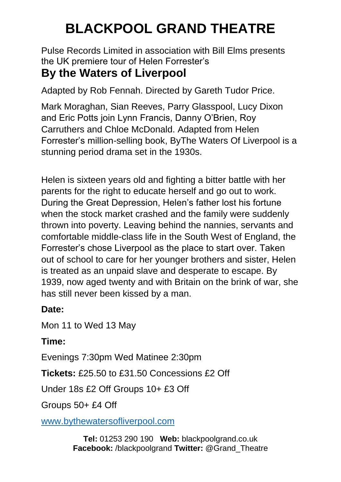Pulse Records Limited in association with Bill Elms presents the UK premiere tour of Helen Forrester's

### **By the Waters of Liverpool**

Adapted by Rob Fennah. Directed by Gareth Tudor Price.

Mark Moraghan, Sian Reeves, Parry Glasspool, Lucy Dixon and Eric Potts join Lynn Francis, Danny O'Brien, Roy Carruthers and Chloe McDonald. Adapted from Helen Forrester's million-selling book, ByThe Waters Of Liverpool is a stunning period drama set in the 1930s.

Helen is sixteen years old and fighting a bitter battle with her parents for the right to educate herself and go out to work. During the Great Depression, Helen's father lost his fortune when the stock market crashed and the family were suddenly thrown into poverty. Leaving behind the nannies, servants and comfortable middle-class life in the South West of England, the Forrester's chose Liverpool as the place to start over. Taken out of school to care for her younger brothers and sister, Helen is treated as an unpaid slave and desperate to escape. By 1939, now aged twenty and with Britain on the brink of war, she has still never been kissed by a man.

### **Date:**

Mon 11 to Wed 13 May

### **Time:**

Evenings 7:30pm Wed Matinee 2:30pm

**Tickets:** £25.50 to £31.50 Concessions £2 Off

Under 18s £2 Off Groups 10+ £3 Off

Groups 50+ £4 Off

[www.bythewatersofliverpool.com](http://www.bythewatersofliverpool.com/)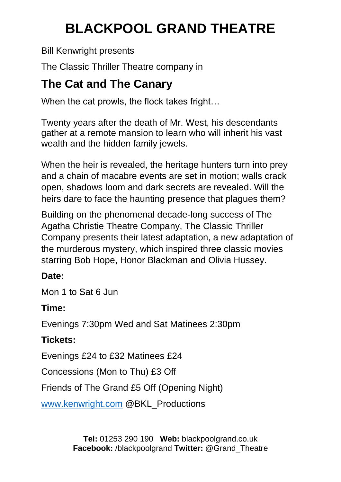Bill Kenwright presents

The Classic Thriller Theatre company in

### **The Cat and The Canary**

When the cat prowls, the flock takes fright...

Twenty years after the death of Mr. West, his descendants gather at a remote mansion to learn who will inherit his vast wealth and the hidden family jewels.

When the heir is revealed, the heritage hunters turn into prey and a chain of macabre events are set in motion; walls crack open, shadows loom and dark secrets are revealed. Will the heirs dare to face the haunting presence that plagues them?

Building on the phenomenal decade-long success of The Agatha Christie Theatre Company, The Classic Thriller Company presents their latest adaptation, a new adaptation of the murderous mystery, which inspired three classic movies starring Bob Hope, Honor Blackman and Olivia Hussey.

### **Date:**

Mon 1 to Sat 6 Jun

### **Time:**

Evenings 7:30pm Wed and Sat Matinees 2:30pm

### **Tickets:**

Evenings £24 to £32 Matinees £24

Concessions (Mon to Thu) £3 Off

Friends of The Grand £5 Off (Opening Night)

[www.kenwright.com](http://www.kenwright.com/) @BKL\_Productions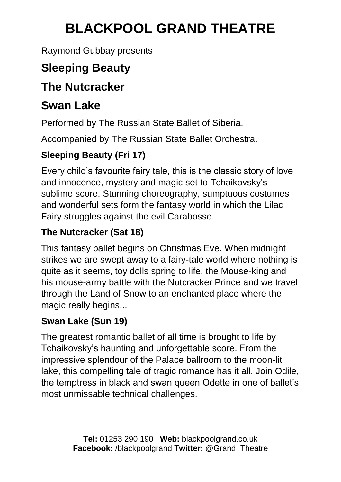Raymond Gubbay presents

### **Sleeping Beauty**

### **The Nutcracker**

### **Swan Lake**

Performed by The Russian State Ballet of Siberia.

Accompanied by The Russian State Ballet Orchestra.

### **Sleeping Beauty (Fri 17)**

Every child's favourite fairy tale, this is the classic story of love and innocence, mystery and magic set to Tchaikovsky's sublime score. Stunning choreography, sumptuous costumes and wonderful sets form the fantasy world in which the Lilac Fairy struggles against the evil Carabosse.

### **The Nutcracker (Sat 18)**

This fantasy ballet begins on Christmas Eve. When midnight strikes we are swept away to a fairy-tale world where nothing is quite as it seems, toy dolls spring to life, the Mouse-king and his mouse-army battle with the Nutcracker Prince and we travel through the Land of Snow to an enchanted place where the magic really begins...

### **Swan Lake (Sun 19)**

The greatest romantic ballet of all time is brought to life by Tchaikovsky's haunting and unforgettable score. From the impressive splendour of the Palace ballroom to the moon-lit lake, this compelling tale of tragic romance has it all. Join Odile, the temptress in black and swan queen Odette in one of ballet's most unmissable technical challenges.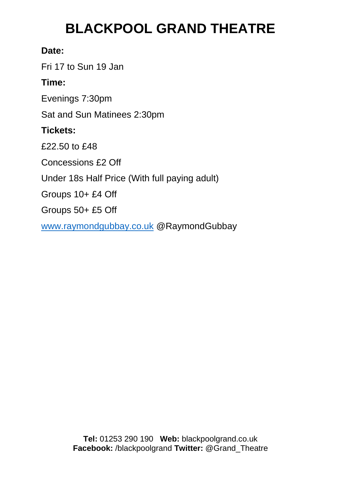#### **Date:**

Fri 17 to Sun 19 Jan

#### **Time:**

Evenings 7:30pm

Sat and Sun Matinees 2:30pm

#### **Tickets:**

£22.50 to £48

Concessions £2 Off

Under 18s Half Price (With full paying adult)

Groups 10+ £4 Off

Groups 50+ £5 Off

[www.raymondgubbay.co.uk](http://www.raymondgubbay.co.uk/) @RaymondGubbay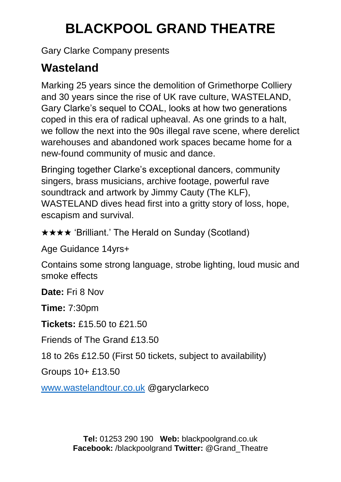Gary Clarke Company presents

### **Wasteland**

Marking 25 years since the demolition of Grimethorpe Colliery and 30 years since the rise of UK rave culture, WASTELAND, Gary Clarke's sequel to COAL, looks at how two generations coped in this era of radical upheaval. As one grinds to a halt, we follow the next into the 90s illegal rave scene, where derelict warehouses and abandoned work spaces became home for a new-found community of music and dance.

Bringing together Clarke's exceptional dancers, community singers, brass musicians, archive footage, powerful rave soundtrack and artwork by Jimmy Cauty (The KLF), WASTELAND dives head first into a gritty story of loss, hope, escapism and survival.

★★★★ 'Brilliant.' The Herald on Sunday (Scotland)

Age Guidance 14yrs+

Contains some strong language, strobe lighting, loud music and smoke effects

**Date:** Fri 8 Nov

**Time:** 7:30pm

**Tickets:** £15.50 to £21.50

Friends of The Grand £13.50

18 to 26s £12.50 (First 50 tickets, subject to availability)

Groups 10+ £13.50

[www.wastelandtour.co.uk](http://www.wastelandtour.co.uk/) @garyclarkeco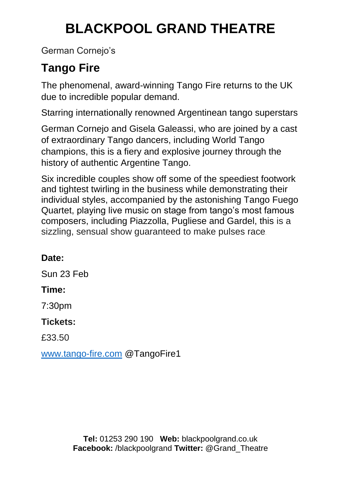German Cornejo's

### **Tango Fire**

The phenomenal, award-winning Tango Fire returns to the UK due to incredible popular demand.

Starring internationally renowned Argentinean tango superstars

German Cornejo and Gisela Galeassi, who are joined by a cast of extraordinary Tango dancers, including World Tango champions, this is a fiery and explosive journey through the history of authentic Argentine Tango.

Six incredible couples show off some of the speediest footwork and tightest twirling in the business while demonstrating their individual styles, accompanied by the astonishing Tango Fuego Quartet, playing live music on stage from tango's most famous composers, including Piazzolla, Pugliese and Gardel, this is a sizzling, sensual show guaranteed to make pulses race.

#### **Date:**

Sun 23 Feb

#### **Time:**

7:30pm

#### **Tickets:**

£33.50

[www.tango-fire.com](http://www.tango-fire.com/) @TangoFire1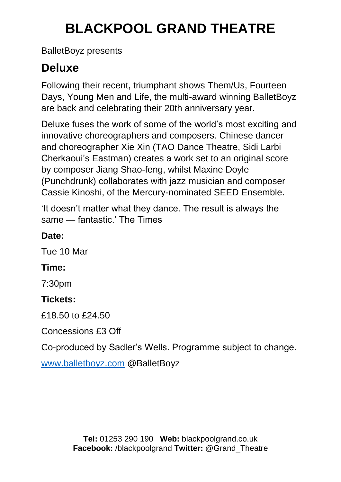BalletBoyz presents

### **Deluxe**

Following their recent, triumphant shows Them/Us, Fourteen Days, Young Men and Life, the multi-award winning BalletBoyz are back and celebrating their 20th anniversary year.

Deluxe fuses the work of some of the world's most exciting and innovative choreographers and composers. Chinese dancer and choreographer Xie Xin (TAO Dance Theatre, Sidi Larbi Cherkaoui's Eastman) creates a work set to an original score by composer Jiang Shao-feng, whilst Maxine Doyle (Punchdrunk) collaborates with jazz musician and composer Cassie Kinoshi, of the Mercury-nominated SEED Ensemble.

'It doesn't matter what they dance. The result is always the same — fantastic.' The Times

### **Date:**

Tue 10 Mar

### **Time:**

7:30pm

### **Tickets:**

£18.50 to £24.50

Concessions £3 Off

Co-produced by Sadler's Wells. Programme subject to change.

[www.balletboyz.com](http://www.balletboyz.com/) @BalletBoyz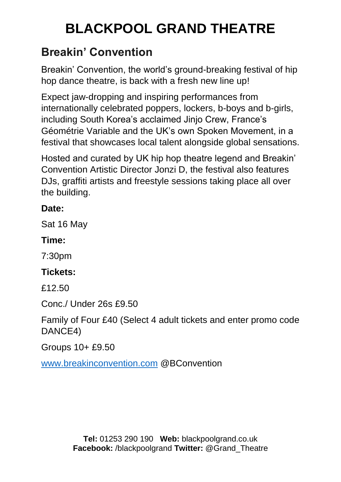### **Breakin' Convention**

Breakin' Convention, the world's ground-breaking festival of hip hop dance theatre, is back with a fresh new line up!

Expect jaw-dropping and inspiring performances from internationally celebrated poppers, lockers, b-boys and b-girls, including South Korea's acclaimed Jinjo Crew, France's Géométrie Variable and the UK's own Spoken Movement, in a festival that showcases local talent alongside global sensations.

Hosted and curated by UK hip hop theatre legend and Breakin' Convention Artistic Director Jonzi D, the festival also features DJs, graffiti artists and freestyle sessions taking place all over the building.

#### **Date:**

Sat 16 May

### **Time:**

7:30pm

### **Tickets:**

£12.50

Conc./ Under 26s £9.50

Family of Four £40 (Select 4 adult tickets and enter promo code DANCE4)

Groups 10+ £9.50

[www.breakinconvention.com](http://www.breakinconvention.com/) @BConvention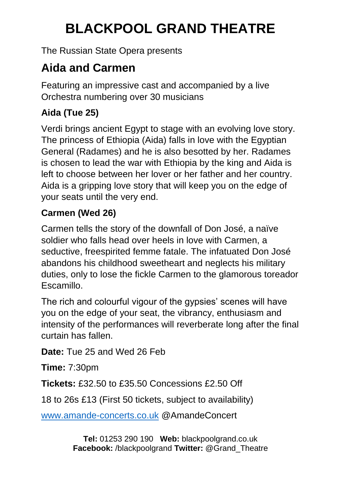The Russian State Opera presents

### **Aida and Carmen**

Featuring an impressive cast and accompanied by a live Orchestra numbering over 30 musicians

### **Aida (Tue 25)**

Verdi brings ancient Egypt to stage with an evolving love story. The princess of Ethiopia (Aida) falls in love with the Egyptian General (Radames) and he is also besotted by her. Radames is chosen to lead the war with Ethiopia by the king and Aida is left to choose between her lover or her father and her country. Aida is a gripping love story that will keep you on the edge of your seats until the very end.

### **Carmen (Wed 26)**

Carmen tells the story of the downfall of Don José, a naïve soldier who falls head over heels in love with Carmen, a seductive, freespirited femme fatale. The infatuated Don José abandons his childhood sweetheart and neglects his military duties, only to lose the fickle Carmen to the glamorous toreador **Escamillo** 

The rich and colourful vigour of the gypsies' scenes will have you on the edge of your seat, the vibrancy, enthusiasm and intensity of the performances will reverberate long after the final curtain has fallen.

**Date:** Tue 25 and Wed 26 Feb

**Time:** 7:30pm

**Tickets:** £32.50 to £35.50 Concessions £2.50 Off

18 to 26s £13 (First 50 tickets, subject to availability)

[www.amande-concerts.co.uk](http://www.amande-concerts.co.uk/) @AmandeConcert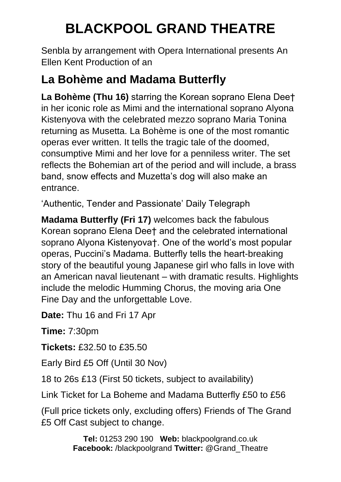Senbla by arrangement with Opera International presents An Ellen Kent Production of an

### **La Bohème and Madama Butterfly**

**La Bohème (Thu 16)** starring the Korean soprano Elena Dee† in her iconic role as Mimi and the international soprano Alyona Kistenyova with the celebrated mezzo soprano Maria Tonina returning as Musetta. La Bohème is one of the most romantic operas ever written. It tells the tragic tale of the doomed, consumptive Mimi and her love for a penniless writer. The set reflects the Bohemian art of the period and will include, a brass band, snow effects and Muzetta's dog will also make an entrance.

'Authentic, Tender and Passionate' Daily Telegraph

**Madama Butterfly (Fri 17)** welcomes back the fabulous Korean soprano Elena Dee† and the celebrated international soprano Alyona Kistenyova†. One of the world's most popular operas, Puccini's Madama. Butterfly tells the heart-breaking story of the beautiful young Japanese girl who falls in love with an American naval lieutenant – with dramatic results. Highlights include the melodic Humming Chorus, the moving aria One Fine Day and the unforgettable Love.

**Date:** Thu 16 and Fri 17 Apr

**Time:** 7:30pm

**Tickets:** £32.50 to £35.50

Early Bird £5 Off (Until 30 Nov)

18 to 26s £13 (First 50 tickets, subject to availability)

Link Ticket for La Boheme and Madama Butterfly £50 to £56

(Full price tickets only, excluding offers) Friends of The Grand £5 Off Cast subject to change.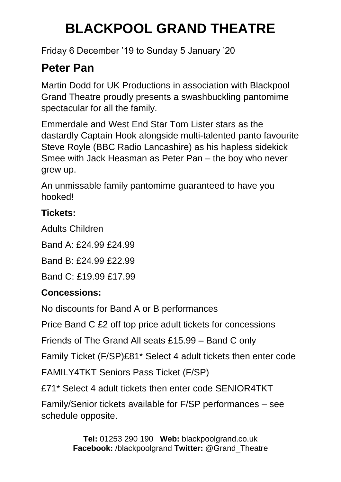Friday 6 December '19 to Sunday 5 January '20

### **Peter Pan**

Martin Dodd for UK Productions in association with Blackpool Grand Theatre proudly presents a swashbuckling pantomime spectacular for all the family.

Emmerdale and West End Star Tom Lister stars as the dastardly Captain Hook alongside multi-talented panto favourite Steve Royle (BBC Radio Lancashire) as his hapless sidekick Smee with Jack Heasman as Peter Pan – the boy who never grew up.

An unmissable family pantomime guaranteed to have you hooked!

### **Tickets:**

Adults Children

Band A: £24.99 £24.99

Band B: £24.99 £22.99

Band C: £19.99 £17.99

### **Concessions:**

No discounts for Band A or B performances

Price Band C £2 off top price adult tickets for concessions

Friends of The Grand All seats £15.99 – Band C only

Family Ticket (F/SP)£81\* Select 4 adult tickets then enter code

FAMILY4TKT Seniors Pass Ticket (F/SP)

£71\* Select 4 adult tickets then enter code SENIOR4TKT

Family/Senior tickets available for F/SP performances – see schedule opposite.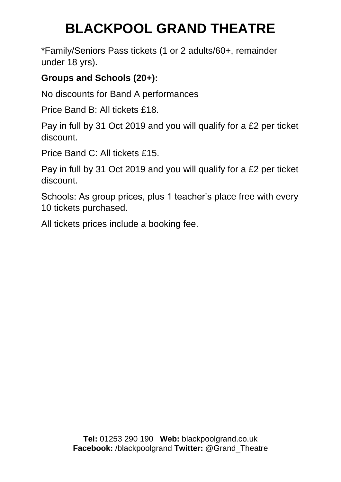\*Family/Seniors Pass tickets (1 or 2 adults/60+, remainder under 18 yrs).

#### **Groups and Schools (20+):**

No discounts for Band A performances

Price Band B: All tickets £18.

Pay in full by 31 Oct 2019 and you will qualify for a £2 per ticket discount.

Price Band C: All tickets £15.

Pay in full by 31 Oct 2019 and you will qualify for a £2 per ticket discount.

Schools: As group prices, plus 1 teacher's place free with every 10 tickets purchased.

All tickets prices include a booking fee.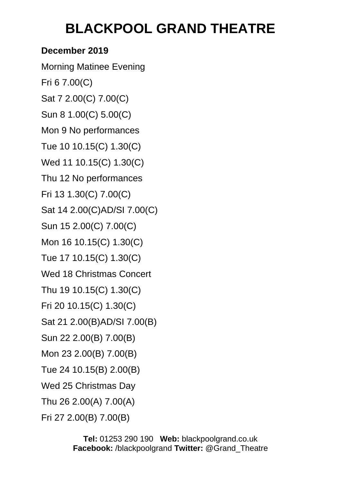### **December 2019**

Morning Matinee Evening Fri 6 7.00(C) Sat 7 2.00(C) 7.00(C) Sun 8 1.00(C) 5.00(C) Mon 9 No performances Tue 10 10.15(C) 1.30(C) Wed 11 10.15(C) 1.30(C) Thu 12 No performances Fri 13 1.30(C) 7.00(C) Sat 14 2.00(C)AD/SI 7.00(C) Sun 15 2.00(C) 7.00(C) Mon 16 10.15(C) 1.30(C) Tue 17 10.15(C) 1.30(C) Wed 18 Christmas Concert Thu 19 10.15(C) 1.30(C) Fri 20 10.15(C) 1.30(C) Sat 21 2.00(B)AD/SI 7.00(B) Sun 22 2.00(B) 7.00(B) Mon 23 2.00(B) 7.00(B) Tue 24 10.15(B) 2.00(B) Wed 25 Christmas Day Thu 26 2.00(A) 7.00(A)

Fri 27 2.00(B) 7.00(B)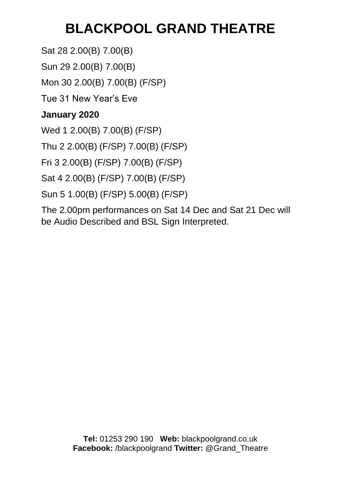Sat 28 2.00(B) 7.00(B)

Sun 29 2.00(B) 7.00(B)

Mon 30 2.00(B) 7.00(B) (F/SP)

Tue 31 New Year's Eve

### **January 2020**

Wed 1 2.00(B) 7.00(B) (F/SP)

Thu 2 2.00(B) (F/SP) 7.00(B) (F/SP)

Fri 3 2.00(B) (F/SP) 7.00(B) (F/SP)

Sat 4 2.00(B) (F/SP) 7.00(B) (F/SP)

Sun 5 1.00(B) (F/SP) 5.00(B) (F/SP)

The 2.00pm performances on Sat 14 Dec and Sat 21 Dec will be Audio Described and BSL Sign Interpreted.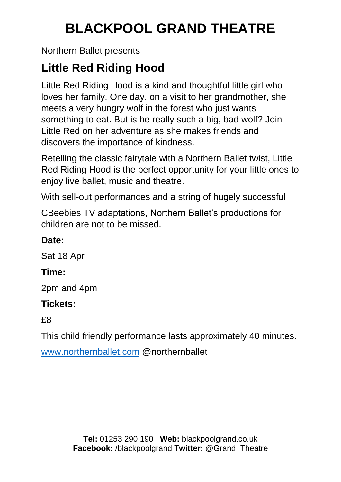Northern Ballet presents

### **Little Red Riding Hood**

Little Red Riding Hood is a kind and thoughtful little girl who loves her family. One day, on a visit to her grandmother, she meets a very hungry wolf in the forest who just wants something to eat. But is he really such a big, bad wolf? Join Little Red on her adventure as she makes friends and discovers the importance of kindness.

Retelling the classic fairytale with a Northern Ballet twist, Little Red Riding Hood is the perfect opportunity for your little ones to enjoy live ballet, music and theatre.

With sell-out performances and a string of hugely successful

CBeebies TV adaptations, Northern Ballet's productions for children are not to be missed.

### **Date:**

Sat 18 Apr

### **Time:**

2pm and 4pm

### **Tickets:**

£8

This child friendly performance lasts approximately 40 minutes.

[www.northernballet.com](http://www.northernballet.com/) @northernballet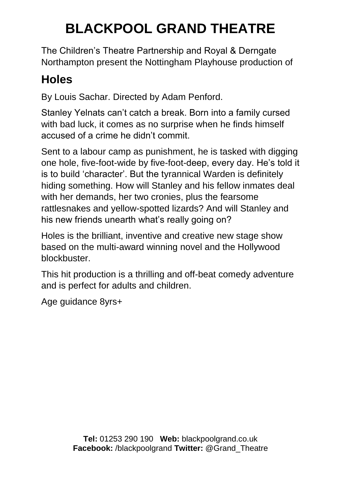The Children's Theatre Partnership and Royal & Derngate Northampton present the Nottingham Playhouse production of

### **Holes**

By Louis Sachar. Directed by Adam Penford.

Stanley Yelnats can't catch a break. Born into a family cursed with bad luck, it comes as no surprise when he finds himself accused of a crime he didn't commit.

Sent to a labour camp as punishment, he is tasked with digging one hole, five-foot-wide by five-foot-deep, every day. He's told it is to build 'character'. But the tyrannical Warden is definitely hiding something. How will Stanley and his fellow inmates deal with her demands, her two cronies, plus the fearsome rattlesnakes and yellow-spotted lizards? And will Stanley and his new friends unearth what's really going on?

Holes is the brilliant, inventive and creative new stage show based on the multi-award winning novel and the Hollywood blockbuster.

This hit production is a thrilling and off-beat comedy adventure and is perfect for adults and children.

Age guidance 8yrs+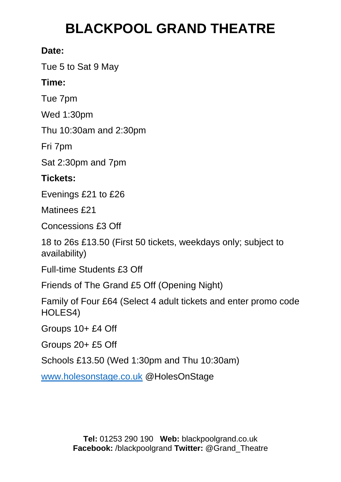#### **Date:**

Tue 5 to Sat 9 May

#### **Time:**

Tue 7pm

Wed 1:30pm

Thu 10:30am and 2:30pm

Fri 7pm

Sat 2:30pm and 7pm

### **Tickets:**

Evenings £21 to £26

Matinees £21

Concessions £3 Off

18 to 26s £13.50 (First 50 tickets, weekdays only; subject to availability)

Full-time Students £3 Off

Friends of The Grand £5 Off (Opening Night)

Family of Four £64 (Select 4 adult tickets and enter promo code HOLES4)

Groups 10+ £4 Off

Groups 20+ £5 Off

Schools £13.50 (Wed 1:30pm and Thu 10:30am)

[www.holesonstage.co.uk](http://www.holesonstage.co.uk/) @HolesOnStage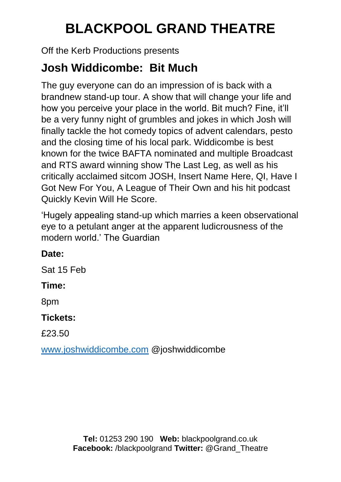Off the Kerb Productions presents

### **Josh Widdicombe: Bit Much**

The guy everyone can do an impression of is back with a brandnew stand-up tour. A show that will change your life and how you perceive your place in the world. Bit much? Fine, it'll be a very funny night of grumbles and jokes in which Josh will finally tackle the hot comedy topics of advent calendars, pesto and the closing time of his local park. Widdicombe is best known for the twice BAFTA nominated and multiple Broadcast and RTS award winning show The Last Leg, as well as his critically acclaimed sitcom JOSH, Insert Name Here, QI, Have I Got New For You, A League of Their Own and his hit podcast Quickly Kevin Will He Score.

'Hugely appealing stand-up which marries a keen observational eye to a petulant anger at the apparent ludicrousness of the modern world.' The Guardian

### **Date:**

Sat 15 Feb

### **Time:**

8pm

### **Tickets:**

£23.50

[www.joshwiddicombe.com](http://www.joshwiddicombe.com/) @joshwiddicombe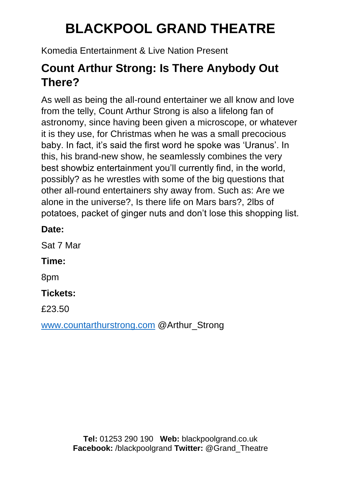Komedia Entertainment & Live Nation Present

### **Count Arthur Strong: Is There Anybody Out There?**

As well as being the all-round entertainer we all know and love from the telly, Count Arthur Strong is also a lifelong fan of astronomy, since having been given a microscope, or whatever it is they use, for Christmas when he was a small precocious baby. In fact, it's said the first word he spoke was 'Uranus'. In this, his brand-new show, he seamlessly combines the very best showbiz entertainment you'll currently find, in the world, possibly? as he wrestles with some of the big questions that other all-round entertainers shy away from. Such as: Are we alone in the universe?, Is there life on Mars bars?, 2lbs of potatoes, packet of ginger nuts and don't lose this shopping list.

#### **Date:**

Sat 7 Mar

### **Time:**

8pm

#### **Tickets:**

£23.50

[www.countarthurstrong.com](http://www.countarthurstrong.com/) @Arthur\_Strong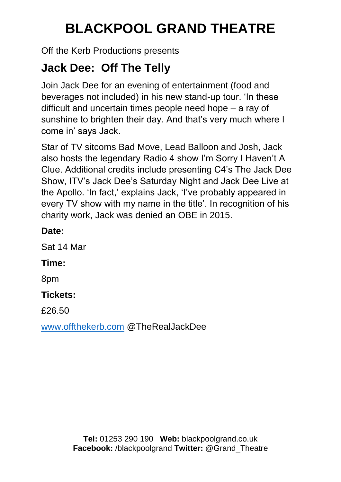Off the Kerb Productions presents

### **Jack Dee: Off The Telly**

Join Jack Dee for an evening of entertainment (food and beverages not included) in his new stand-up tour. 'In these difficult and uncertain times people need hope – a ray of sunshine to brighten their day. And that's very much where I come in' says Jack.

Star of TV sitcoms Bad Move, Lead Balloon and Josh, Jack also hosts the legendary Radio 4 show I'm Sorry I Haven't A Clue. Additional credits include presenting C4's The Jack Dee Show, ITV's Jack Dee's Saturday Night and Jack Dee Live at the Apollo. 'In fact,' explains Jack, 'I've probably appeared in every TV show with my name in the title'. In recognition of his charity work, Jack was denied an OBE in 2015.

#### **Date:**

Sat 14 Mar

#### **Time:**

8pm

#### **Tickets:**

£26.50

[www.offthekerb.com](http://www.offthekerb.com/) @TheRealJackDee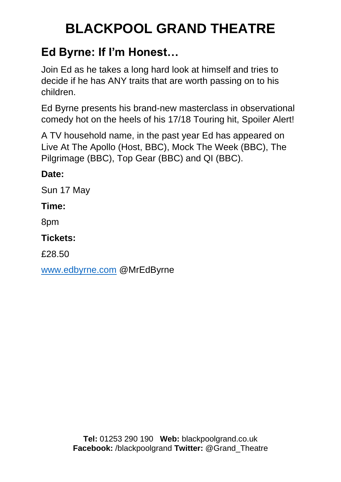### **Ed Byrne: If I'm Honest…**

Join Ed as he takes a long hard look at himself and tries to decide if he has ANY traits that are worth passing on to his children.

Ed Byrne presents his brand-new masterclass in observational comedy hot on the heels of his 17/18 Touring hit, Spoiler Alert!

A TV household name, in the past year Ed has appeared on Live At The Apollo (Host, BBC), Mock The Week (BBC), The Pilgrimage (BBC), Top Gear (BBC) and QI (BBC).

**Date:**

Sun 17 May

#### **Time:**

8pm

**Tickets:** 

£28.50

[www.edbyrne.com](http://www.edbyrne.com/) @MrEdByrne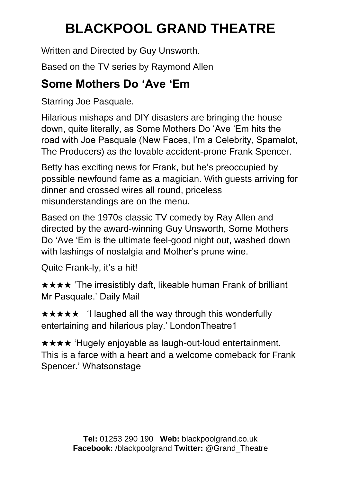Written and Directed by Guy Unsworth.

Based on the TV series by Raymond Allen

### **Some Mothers Do 'Ave 'Em**

Starring Joe Pasquale.

Hilarious mishaps and DIY disasters are bringing the house down, quite literally, as Some Mothers Do 'Ave 'Em hits the road with Joe Pasquale (New Faces, I'm a Celebrity, Spamalot, The Producers) as the lovable accident-prone Frank Spencer.

Betty has exciting news for Frank, but he's preoccupied by possible newfound fame as a magician. With guests arriving for dinner and crossed wires all round, priceless misunderstandings are on the menu.

Based on the 1970s classic TV comedy by Ray Allen and directed by the award-winning Guy Unsworth, Some Mothers Do 'Ave 'Em is the ultimate feel-good night out, washed down with lashings of nostalgia and Mother's prune wine.

Quite Frank-ly, it's a hit!

★★★★ 'The irresistibly daft, likeable human Frank of brilliant Mr Pasquale.' Daily Mail

★★★★★ 'I laughed all the way through this wonderfully entertaining and hilarious play.' LondonTheatre1

★★★★ 'Hugely enjoyable as laugh-out-loud entertainment. This is a farce with a heart and a welcome comeback for Frank Spencer.' Whatsonstage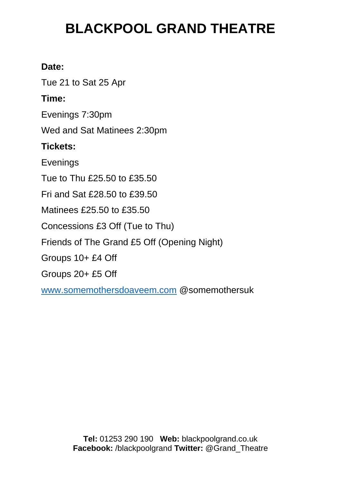#### **Date:**

Tue 21 to Sat 25 Apr

#### **Time:**

Evenings 7:30pm

Wed and Sat Matinees 2:30pm

#### **Tickets:**

Evenings

Tue to Thu £25.50 to £35.50

Fri and Sat £28.50 to £39.50

Matinees £25.50 to £35.50

Concessions £3 Off (Tue to Thu)

Friends of The Grand £5 Off (Opening Night)

Groups 10+ £4 Off

Groups 20+ £5 Off

[www.somemothersdoaveem.com](http://www.somemothersdoaveem.com/) @somemothersuk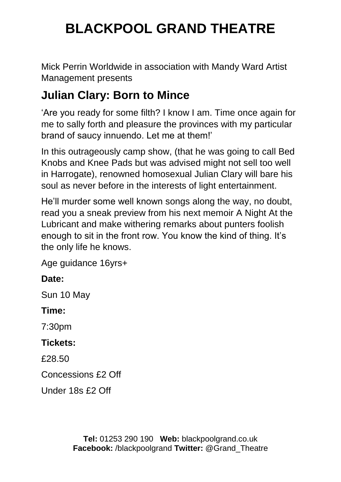Mick Perrin Worldwide in association with Mandy Ward Artist Management presents

### **Julian Clary: Born to Mince**

'Are you ready for some filth? I know I am. Time once again for me to sally forth and pleasure the provinces with my particular brand of saucy innuendo. Let me at them!'

In this outrageously camp show, (that he was going to call Bed Knobs and Knee Pads but was advised might not sell too well in Harrogate), renowned homosexual Julian Clary will bare his soul as never before in the interests of light entertainment.

He'll murder some well known songs along the way, no doubt, read you a sneak preview from his next memoir A Night At the Lubricant and make withering remarks about punters foolish enough to sit in the front row. You know the kind of thing. It's the only life he knows.

Age guidance 16yrs+

### **Date:**

Sun 10 May

#### **Time:**

7:30pm

#### **Tickets:**

£28.50

Concessions £2 Off

Under 18s £2 Off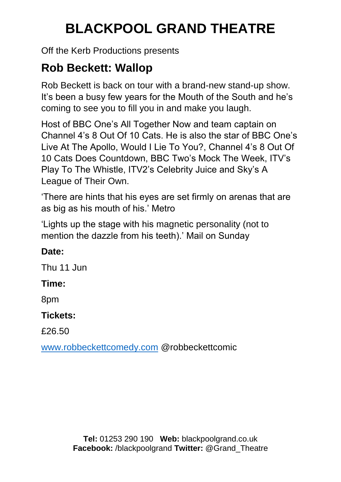Off the Kerb Productions presents

## **Rob Beckett: Wallop**

Rob Beckett is back on tour with a brand-new stand-up show. It's been a busy few years for the Mouth of the South and he's coming to see you to fill you in and make you laugh.

Host of BBC One's All Together Now and team captain on Channel 4's 8 Out Of 10 Cats. He is also the star of BBC One's Live At The Apollo, Would I Lie To You?, Channel 4's 8 Out Of 10 Cats Does Countdown, BBC Two's Mock The Week, ITV's Play To The Whistle, ITV2's Celebrity Juice and Sky's A League of Their Own.

'There are hints that his eyes are set firmly on arenas that are as big as his mouth of his.' Metro

'Lights up the stage with his magnetic personality (not to mention the dazzle from his teeth).' Mail on Sunday

## **Date:**

Thu 11 Jun

## **Time:**

8pm

## **Tickets:**

£26.50

[www.robbeckettcomedy.com](http://www.robbeckettcomedy.com/) @robbeckettcomic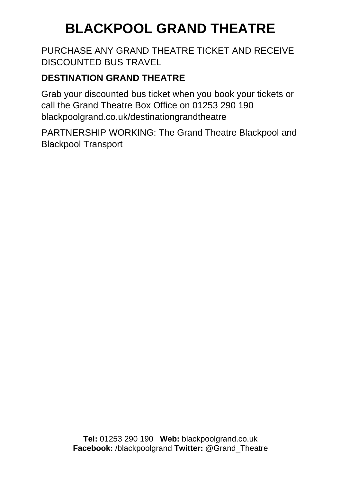PURCHASE ANY GRAND THEATRE TICKET AND RECEIVE DISCOUNTED BUS TRAVEL

### **DESTINATION GRAND THEATRE**

Grab your discounted bus ticket when you book your tickets or call the Grand Theatre Box Office on 01253 290 190 blackpoolgrand.co.uk/destinationgrandtheatre

PARTNERSHIP WORKING: The Grand Theatre Blackpool and Blackpool Transport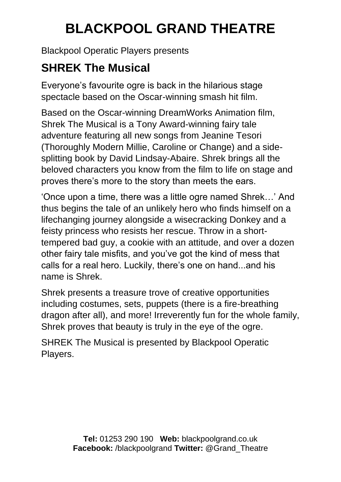Blackpool Operatic Players presents

## **SHREK The Musical**

Everyone's favourite ogre is back in the hilarious stage spectacle based on the Oscar-winning smash hit film.

Based on the Oscar-winning DreamWorks Animation film, Shrek The Musical is a Tony Award-winning fairy tale adventure featuring all new songs from Jeanine Tesori (Thoroughly Modern Millie, Caroline or Change) and a sidesplitting book by David Lindsay-Abaire. Shrek brings all the beloved characters you know from the film to life on stage and proves there's more to the story than meets the ears.

'Once upon a time, there was a little ogre named Shrek…' And thus begins the tale of an unlikely hero who finds himself on a lifechanging journey alongside a wisecracking Donkey and a feisty princess who resists her rescue. Throw in a shorttempered bad guy, a cookie with an attitude, and over a dozen other fairy tale misfits, and you've got the kind of mess that calls for a real hero. Luckily, there's one on hand...and his name is Shrek.

Shrek presents a treasure trove of creative opportunities including costumes, sets, puppets (there is a fire-breathing dragon after all), and more! Irreverently fun for the whole family, Shrek proves that beauty is truly in the eye of the ogre.

SHREK The Musical is presented by Blackpool Operatic Players.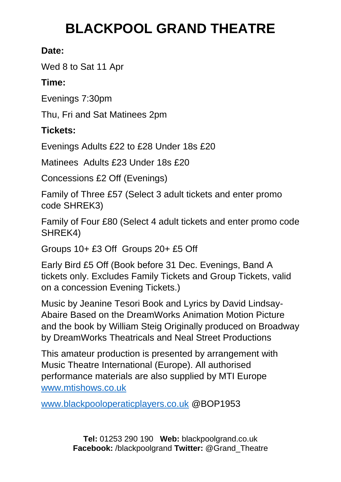### **Date:**

Wed 8 to Sat 11 Apr

## **Time:**

Evenings 7:30pm

Thu, Fri and Sat Matinees 2pm

## **Tickets:**

Evenings Adults £22 to £28 Under 18s £20

Matinees Adults £23 Under 18s £20

Concessions £2 Off (Evenings)

Family of Three £57 (Select 3 adult tickets and enter promo code SHREK3)

Family of Four £80 (Select 4 adult tickets and enter promo code SHREK4)

Groups 10+ £3 Off Groups 20+ £5 Off

Early Bird £5 Off (Book before 31 Dec. Evenings, Band A tickets only. Excludes Family Tickets and Group Tickets, valid on a concession Evening Tickets.)

Music by Jeanine Tesori Book and Lyrics by David Lindsay-Abaire Based on the DreamWorks Animation Motion Picture and the book by William Steig Originally produced on Broadway by DreamWorks Theatricals and Neal Street Productions

This amateur production is presented by arrangement with Music Theatre International (Europe). All authorised performance materials are also supplied by MTI Europe [www.mtishows.co.uk](http://www.mtishows.co.uk/)

[www.blackpooloperaticplayers.co.uk](http://www.blackpooloperaticplayers.co.uk/) @BOP1953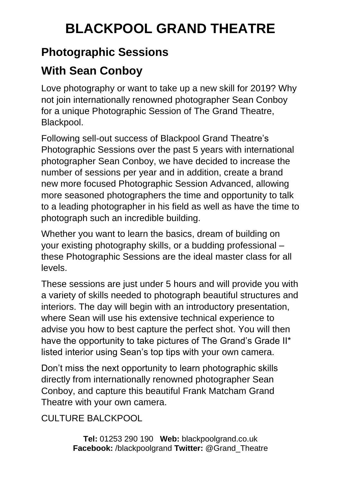## **Photographic Sessions**

## **With Sean Conboy**

Love photography or want to take up a new skill for 2019? Why not join internationally renowned photographer Sean Conboy for a unique Photographic Session of The Grand Theatre, Blackpool.

Following sell-out success of Blackpool Grand Theatre's Photographic Sessions over the past 5 years with international photographer Sean Conboy, we have decided to increase the number of sessions per year and in addition, create a brand new more focused Photographic Session Advanced, allowing more seasoned photographers the time and opportunity to talk to a leading photographer in his field as well as have the time to photograph such an incredible building.

Whether you want to learn the basics, dream of building on your existing photography skills, or a budding professional – these Photographic Sessions are the ideal master class for all levels.

These sessions are just under 5 hours and will provide you with a variety of skills needed to photograph beautiful structures and interiors. The day will begin with an introductory presentation, where Sean will use his extensive technical experience to advise you how to best capture the perfect shot. You will then have the opportunity to take pictures of The Grand's Grade II\* listed interior using Sean's top tips with your own camera.

Don't miss the next opportunity to learn photographic skills directly from internationally renowned photographer Sean Conboy, and capture this beautiful Frank Matcham Grand Theatre with your own camera.

## CULTURE BALCKPOOL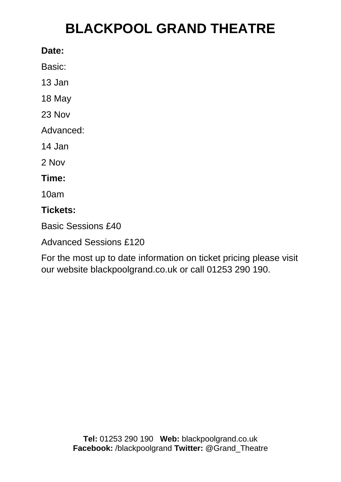#### **Date:**

Basic:

13 Jan

18 May

23 Nov

Advanced:

14 Jan

2 Nov

### **Time:**

10am

### **Tickets:**

Basic Sessions £40

Advanced Sessions £120

For the most up to date information on ticket pricing please visit our website blackpoolgrand.co.uk or call 01253 290 190.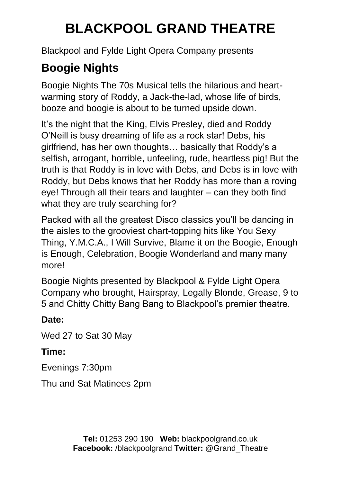Blackpool and Fylde Light Opera Company presents

## **Boogie Nights**

Boogie Nights The 70s Musical tells the hilarious and heartwarming story of Roddy, a Jack-the-lad, whose life of birds, booze and boogie is about to be turned upside down.

It's the night that the King, Elvis Presley, died and Roddy O'Neill is busy dreaming of life as a rock star! Debs, his girlfriend, has her own thoughts… basically that Roddy's a selfish, arrogant, horrible, unfeeling, rude, heartless pig! But the truth is that Roddy is in love with Debs, and Debs is in love with Roddy, but Debs knows that her Roddy has more than a roving eye! Through all their tears and laughter – can they both find what they are truly searching for?

Packed with all the greatest Disco classics you'll be dancing in the aisles to the grooviest chart-topping hits like You Sexy Thing, Y.M.C.A., I Will Survive, Blame it on the Boogie, Enough is Enough, Celebration, Boogie Wonderland and many many more!

Boogie Nights presented by Blackpool & Fylde Light Opera Company who brought, Hairspray, Legally Blonde, Grease, 9 to 5 and Chitty Chitty Bang Bang to Blackpool's premier theatre.

### **Date:**

Wed 27 to Sat 30 May

## **Time:**

Evenings 7:30pm

Thu and Sat Matinees 2pm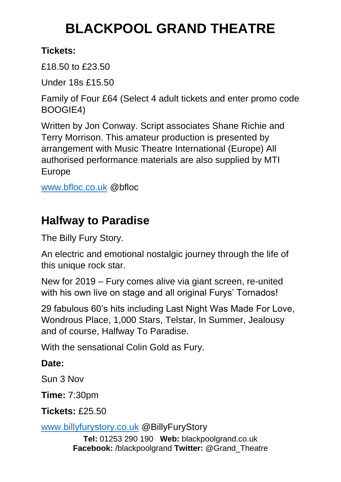### **Tickets:**

£18.50 to £23.50

Under 18s £15.50

Family of Four £64 (Select 4 adult tickets and enter promo code BOOGIE4)

Written by Jon Conway. Script associates Shane Richie and Terry Morrison. This amateur production is presented by arrangement with Music Theatre International (Europe) All authorised performance materials are also supplied by MTI Europe

[www.bfloc.co.uk](http://www.bfloc.co.uk/) @bfloc

## **Halfway to Paradise**

The Billy Fury Story.

An electric and emotional nostalgic journey through the life of this unique rock star.

New for 2019 – Fury comes alive via giant screen, re-united with his own live on stage and all original Furys' Tornados!

29 fabulous 60's hits including Last Night Was Made For Love, Wondrous Place, 1,000 Stars, Telstar, In Summer, Jealousy and of course, Halfway To Paradise.

With the sensational Colin Gold as Fury.

## **Date:**

Sun 3 Nov

**Time:** 7:30pm

**Tickets:** £25.50

[www.billyfurystory.co.uk](http://www.billyfurystory.co.uk/) @BillyFuryStory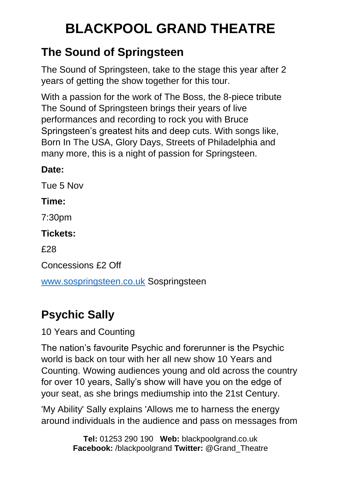## **The Sound of Springsteen**

The Sound of Springsteen, take to the stage this year after 2 years of getting the show together for this tour.

With a passion for the work of The Boss, the 8-piece tribute The Sound of Springsteen brings their years of live performances and recording to rock you with Bruce Springsteen's greatest hits and deep cuts. With songs like, Born In The USA, Glory Days, Streets of Philadelphia and many more, this is a night of passion for Springsteen.

## **Date:**

Tue 5 Nov

### **Time:**

7:30pm

## **Tickets:**

£28

Concessions £2 Off

[www.sospringsteen.co.uk](http://www.sospringsteen.co.uk/) Sospringsteen

## **Psychic Sally**

10 Years and Counting

The nation's favourite Psychic and forerunner is the Psychic world is back on tour with her all new show 10 Years and Counting. Wowing audiences young and old across the country for over 10 years, Sally's show will have you on the edge of your seat, as she brings mediumship into the 21st Century.

'My Ability' Sally explains 'Allows me to harness the energy around individuals in the audience and pass on messages from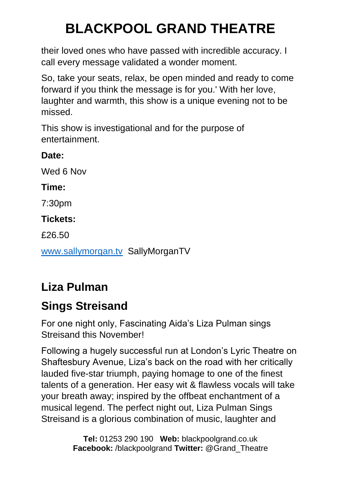their loved ones who have passed with incredible accuracy. I call every message validated a wonder moment.

So, take your seats, relax, be open minded and ready to come forward if you think the message is for you.' With her love, laughter and warmth, this show is a unique evening not to be missed.

This show is investigational and for the purpose of entertainment.

**Date:** Wed 6 Nov **Time:** 7:30pm **Tickets:**  £26.50 [www.sallymorgan.tv](http://www.sallymorgan.tv/) SallyMorganTV

## **Liza Pulman**

## **Sings Streisand**

For one night only, Fascinating Aida's Liza Pulman sings Streisand this November!

Following a hugely successful run at London's Lyric Theatre on Shaftesbury Avenue, Liza's back on the road with her critically lauded five-star triumph, paying homage to one of the finest talents of a generation. Her easy wit & flawless vocals will take your breath away; inspired by the offbeat enchantment of a musical legend. The perfect night out, Liza Pulman Sings Streisand is a glorious combination of music, laughter and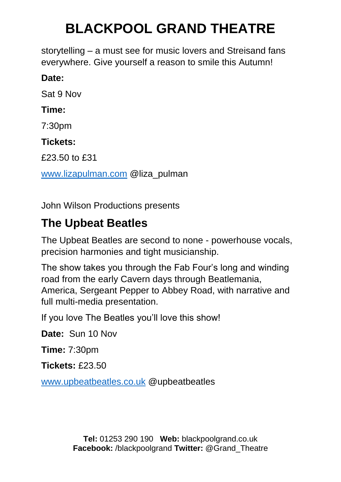storytelling – a must see for music lovers and Streisand fans everywhere. Give yourself a reason to smile this Autumn!

### **Date:**

Sat 9 Nov

### **Time:**

7:30pm

#### **Tickets:**

£23.50 to £31

[www.lizapulman.com](http://www.lizapulman.com/) @liza\_pulman

John Wilson Productions presents

## **The Upbeat Beatles**

The Upbeat Beatles are second to none - powerhouse vocals, precision harmonies and tight musicianship.

The show takes you through the Fab Four's long and winding road from the early Cavern days through Beatlemania, America, Sergeant Pepper to Abbey Road, with narrative and full multi-media presentation.

If you love The Beatles you'll love this show!

**Date:** Sun 10 Nov

**Time:** 7:30pm

**Tickets:** £23.50

[www.upbeatbeatles.co.uk](http://www.upbeatbeatles.co.uk/) @upbeatbeatles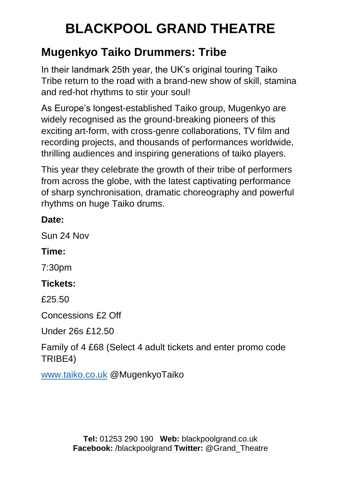## **Mugenkyo Taiko Drummers: Tribe**

In their landmark 25th year, the UK's original touring Taiko Tribe return to the road with a brand-new show of skill, stamina and red-hot rhythms to stir your soul!

As Europe's longest-established Taiko group, Mugenkyo are widely recognised as the ground-breaking pioneers of this exciting art-form, with cross-genre collaborations, TV film and recording projects, and thousands of performances worldwide, thrilling audiences and inspiring generations of taiko players.

This year they celebrate the growth of their tribe of performers from across the globe, with the latest captivating performance of sharp synchronisation, dramatic choreography and powerful rhythms on huge Taiko drums.

### **Date:**

Sun 24 Nov

## **Time:**

7:30pm

## **Tickets:**

£25.50

Concessions £2 Off

Under 26s £12.50

Family of 4 £68 (Select 4 adult tickets and enter promo code TRIBE4)

[www.taiko.co.uk](http://www.taiko.co.uk/) @MugenkyoTaiko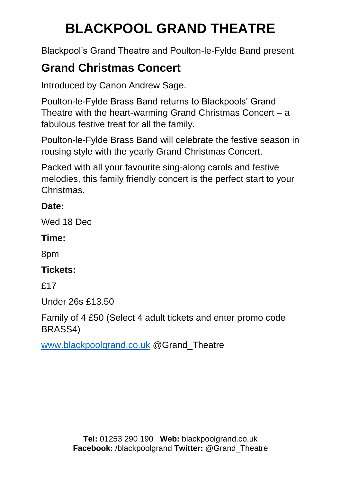Blackpool's Grand Theatre and Poulton-le-Fylde Band present

## **Grand Christmas Concert**

Introduced by Canon Andrew Sage.

Poulton-le-Fylde Brass Band returns to Blackpools' Grand Theatre with the heart-warming Grand Christmas Concert – a fabulous festive treat for all the family.

Poulton-le-Fylde Brass Band will celebrate the festive season in rousing style with the yearly Grand Christmas Concert.

Packed with all your favourite sing-along carols and festive melodies, this family friendly concert is the perfect start to your Christmas.

### **Date:**

Wed 18 Dec

#### **Time:**

8pm

### **Tickets:**

£17

Under 26s £13.50

Family of 4 £50 (Select 4 adult tickets and enter promo code BRASS4)

[www.blackpoolgrand.co.uk](http://www.blackpoolgrand.co.uk/) @Grand\_Theatre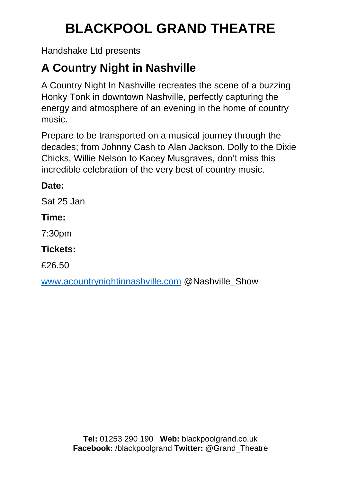Handshake Ltd presents

## **A Country Night in Nashville**

A Country Night In Nashville recreates the scene of a buzzing Honky Tonk in downtown Nashville, perfectly capturing the energy and atmosphere of an evening in the home of country music.

Prepare to be transported on a musical journey through the decades; from Johnny Cash to Alan Jackson, Dolly to the Dixie Chicks, Willie Nelson to Kacey Musgraves, don't miss this incredible celebration of the very best of country music.

### **Date:**

Sat 25 Jan

### **Time:**

7:30pm

### **Tickets:**

£26.50

[www.acountrynightinnashville.com](http://www.acountrynightinnashville.com/) @Nashville\_Show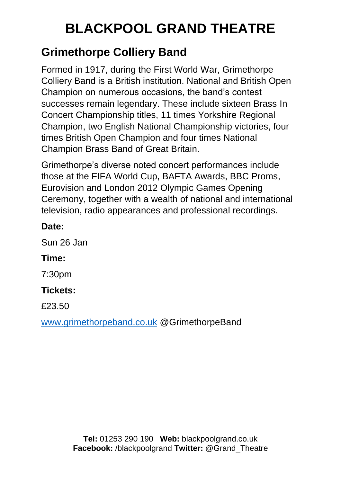## **Grimethorpe Colliery Band**

Formed in 1917, during the First World War, Grimethorpe Colliery Band is a British institution. National and British Open Champion on numerous occasions, the band's contest successes remain legendary. These include sixteen Brass In Concert Championship titles, 11 times Yorkshire Regional Champion, two English National Championship victories, four times British Open Champion and four times National Champion Brass Band of Great Britain.

Grimethorpe's diverse noted concert performances include those at the FIFA World Cup, BAFTA Awards, BBC Proms, Eurovision and London 2012 Olympic Games Opening Ceremony, together with a wealth of national and international television, radio appearances and professional recordings.

#### **Date:**

Sun 26 Jan

## **Time:**

7:30pm

### **Tickets:**

£23.50

[www.grimethorpeband.co.uk](http://www.grimethorpeband.co.uk/) @GrimethorpeBand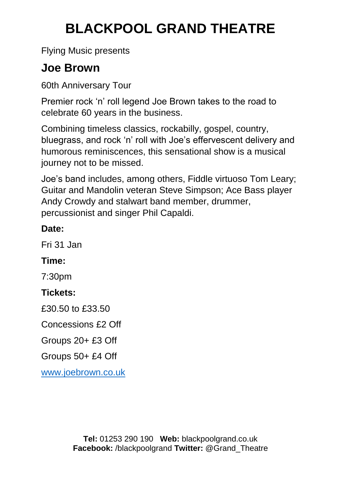Flying Music presents

## **Joe Brown**

60th Anniversary Tour

Premier rock 'n' roll legend Joe Brown takes to the road to celebrate 60 years in the business.

Combining timeless classics, rockabilly, gospel, country, bluegrass, and rock 'n' roll with Joe's effervescent delivery and humorous reminiscences, this sensational show is a musical journey not to be missed.

Joe's band includes, among others, Fiddle virtuoso Tom Leary; Guitar and Mandolin veteran Steve Simpson; Ace Bass player Andy Crowdy and stalwart band member, drummer, percussionist and singer Phil Capaldi.

### **Date:**

Fri 31 Jan

## **Time:**

7:30pm

## **Tickets:**

£30.50 to £33.50

Concessions £2 Off

Groups 20+ £3 Off

Groups 50+ £4 Off

[www.joebrown.co.uk](http://www.joebrown.co.uk/)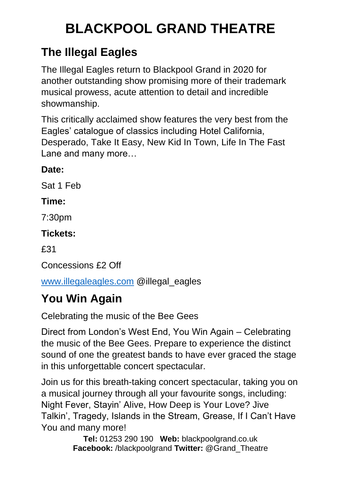## **The Illegal Eagles**

The Illegal Eagles return to Blackpool Grand in 2020 for another outstanding show promising more of their trademark musical prowess, acute attention to detail and incredible showmanship.

This critically acclaimed show features the very best from the Eagles' catalogue of classics including Hotel California, Desperado, Take It Easy, New Kid In Town, Life In The Fast Lane and many more…

### **Date:**

Sat 1 Feb

### **Time:**

7:30pm

## **Tickets:**

£31

Concessions £2 Off

[www.illegaleagles.com](http://www.illegaleagles.com/) @illegal\_eagles

## **You Win Again**

Celebrating the music of the Bee Gees

Direct from London's West End, You Win Again – Celebrating the music of the Bee Gees. Prepare to experience the distinct sound of one the greatest bands to have ever graced the stage in this unforgettable concert spectacular.

Join us for this breath-taking concert spectacular, taking you on a musical journey through all your favourite songs, including: Night Fever, Stayin' Alive, How Deep is Your Love? Jive Talkin', Tragedy, Islands in the Stream, Grease, If I Can't Have You and many more!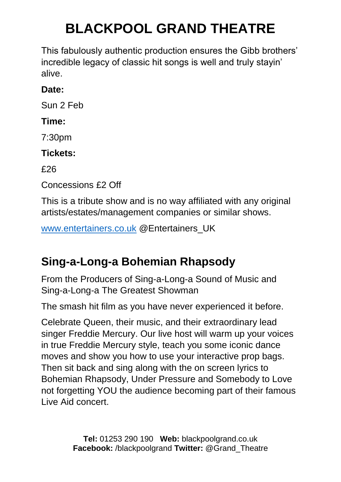This fabulously authentic production ensures the Gibb brothers' incredible legacy of classic hit songs is well and truly stayin' alive.

### **Date:**

Sun 2 Feb

#### **Time:**

7:30pm

### **Tickets:**

£26

Concessions £2 Off

This is a tribute show and is no way affiliated with any original artists/estates/management companies or similar shows.

[www.entertainers.co.uk](http://www.entertainers.co.uk/) @Entertainers\_UK

## **Sing-a-Long-a Bohemian Rhapsody**

From the Producers of Sing-a-Long-a Sound of Music and Sing-a-Long-a The Greatest Showman

The smash hit film as you have never experienced it before.

Celebrate Queen, their music, and their extraordinary lead singer Freddie Mercury. Our live host will warm up your voices in true Freddie Mercury style, teach you some iconic dance moves and show you how to use your interactive prop bags. Then sit back and sing along with the on screen lyrics to Bohemian Rhapsody, Under Pressure and Somebody to Love not forgetting YOU the audience becoming part of their famous Live Aid concert.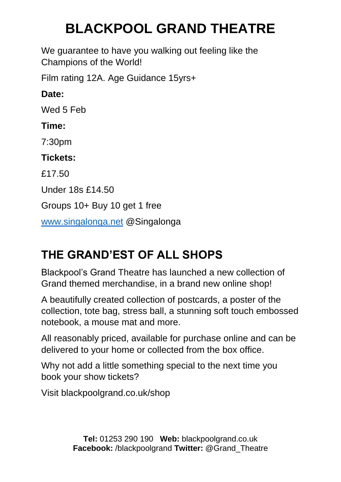We guarantee to have you walking out feeling like the Champions of the World!

Film rating 12A. Age Guidance 15yrs+

**Date:**

Wed 5 Feb

### **Time:**

7:30pm

**Tickets:** 

£17.50

Under 18s £14.50

Groups 10+ Buy 10 get 1 free

[www.singalonga.net](http://www.singalonga.net/) @Singalonga

## **THE GRAND'EST OF ALL SHOPS**

Blackpool's Grand Theatre has launched a new collection of Grand themed merchandise, in a brand new online shop!

A beautifully created collection of postcards, a poster of the collection, tote bag, stress ball, a stunning soft touch embossed notebook, a mouse mat and more.

All reasonably priced, available for purchase online and can be delivered to your home or collected from the box office.

Why not add a little something special to the next time you book your show tickets?

Visit blackpoolgrand.co.uk/shop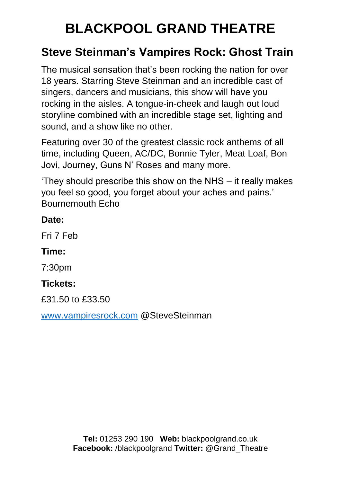## **Steve Steinman's Vampires Rock: Ghost Train**

The musical sensation that's been rocking the nation for over 18 years. Starring Steve Steinman and an incredible cast of singers, dancers and musicians, this show will have you rocking in the aisles. A tongue-in-cheek and laugh out loud storyline combined with an incredible stage set, lighting and sound, and a show like no other.

Featuring over 30 of the greatest classic rock anthems of all time, including Queen, AC/DC, Bonnie Tyler, Meat Loaf, Bon Jovi, Journey, Guns N' Roses and many more.

'They should prescribe this show on the NHS – it really makes you feel so good, you forget about your aches and pains.' Bournemouth Echo

#### **Date:**

Fri 7 Feb

#### **Time:**

7:30pm

### **Tickets:**

£31.50 to £33.50

[www.vampiresrock.com](http://www.vampiresrock.com/) @SteveSteinman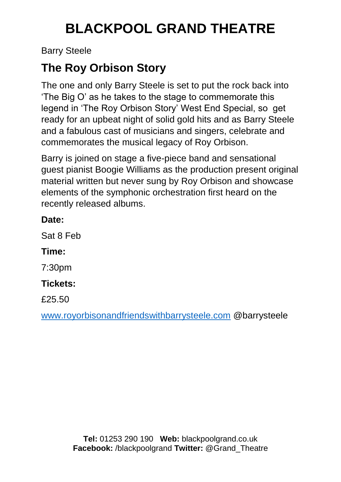Barry Steele

## **The Roy Orbison Story**

The one and only Barry Steele is set to put the rock back into 'The Big O' as he takes to the stage to commemorate this legend in 'The Roy Orbison Story' West End Special, so get ready for an upbeat night of solid gold hits and as Barry Steele and a fabulous cast of musicians and singers, celebrate and commemorates the musical legacy of Roy Orbison.

Barry is joined on stage a five-piece band and sensational guest pianist Boogie Williams as the production present original material written but never sung by Roy Orbison and showcase elements of the symphonic orchestration first heard on the recently released albums.

| Date: |  |
|-------|--|
|       |  |

Sat 8 Feb

**Time:**

7:30pm

## **Tickets:**

£25.50

[www.royorbisonandfriendswithbarrysteele.com](http://www.royorbisonandfriendswithbarrysteele.com/) @barrysteele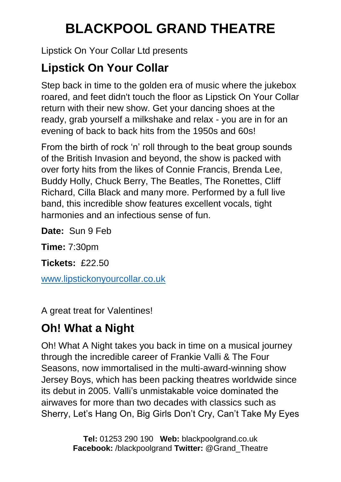Lipstick On Your Collar Ltd presents

## **Lipstick On Your Collar**

Step back in time to the golden era of music where the jukebox roared, and feet didn't touch the floor as Lipstick On Your Collar return with their new show. Get your dancing shoes at the ready, grab yourself a milkshake and relax - you are in for an evening of back to back hits from the 1950s and 60s!

From the birth of rock 'n' roll through to the beat group sounds of the British Invasion and beyond, the show is packed with over forty hits from the likes of Connie Francis, Brenda Lee, Buddy Holly, Chuck Berry, The Beatles, The Ronettes, Cliff Richard, Cilla Black and many more. Performed by a full live band, this incredible show features excellent vocals, tight harmonies and an infectious sense of fun.

**Date:** Sun 9 Feb

**Time:** 7:30pm

**Tickets:** £22.50

[www.lipstickonyourcollar.co.uk](http://www.lipstickonyourcollar.co.uk/)

A great treat for Valentines!

## **Oh! What a Night**

Oh! What A Night takes you back in time on a musical journey through the incredible career of Frankie Valli & The Four Seasons, now immortalised in the multi-award-winning show Jersey Boys, which has been packing theatres worldwide since its debut in 2005. Valli's unmistakable voice dominated the airwaves for more than two decades with classics such as Sherry, Let's Hang On, Big Girls Don't Cry, Can't Take My Eyes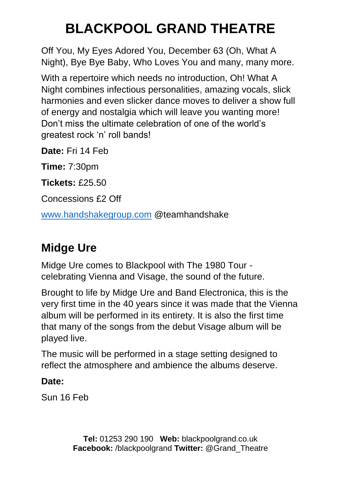Off You, My Eyes Adored You, December 63 (Oh, What A Night), Bye Bye Baby, Who Loves You and many, many more.

With a repertoire which needs no introduction, Oh! What A Night combines infectious personalities, amazing vocals, slick harmonies and even slicker dance moves to deliver a show full of energy and nostalgia which will leave you wanting more! Don't miss the ultimate celebration of one of the world's greatest rock 'n' roll bands!

**Date:** Fri 14 Feb

**Time:** 7:30pm

**Tickets:** £25.50

Concessions £2 Off

[www.handshakegroup.com](http://www.handshakegroup.com/) @teamhandshake

## **Midge Ure**

Midge Ure comes to Blackpool with The 1980 Tour celebrating Vienna and Visage, the sound of the future.

Brought to life by Midge Ure and Band Electronica, this is the very first time in the 40 years since it was made that the Vienna album will be performed in its entirety. It is also the first time that many of the songs from the debut Visage album will be played live.

The music will be performed in a stage setting designed to reflect the atmosphere and ambience the albums deserve.

## **Date:**

Sun 16 Feb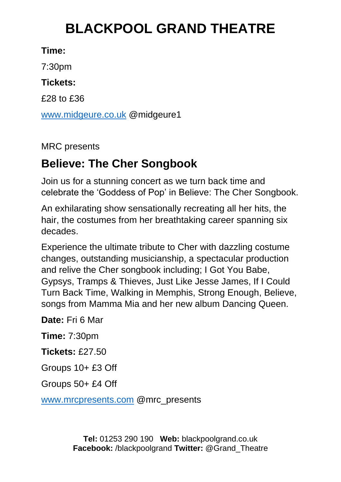### **Time:**

7:30pm

#### **Tickets:**

£28 to £36

[www.midgeure.co.uk](http://www.midgeure.co.uk/) @midgeure1

MRC presents

## **Believe: The Cher Songbook**

Join us for a stunning concert as we turn back time and celebrate the 'Goddess of Pop' in Believe: The Cher Songbook.

An exhilarating show sensationally recreating all her hits, the hair, the costumes from her breathtaking career spanning six decades.

Experience the ultimate tribute to Cher with dazzling costume changes, outstanding musicianship, a spectacular production and relive the Cher songbook including; I Got You Babe, Gypsys, Tramps & Thieves, Just Like Jesse James, If I Could Turn Back Time, Walking in Memphis, Strong Enough, Believe, songs from Mamma Mia and her new album Dancing Queen.

**Date:** Fri 6 Mar

**Time:** 7:30pm

**Tickets:** £27.50

Groups 10+ £3 Off

Groups 50+ £4 Off

[www.mrcpresents.com](http://www.mrcpresents.com/) @mrc\_presents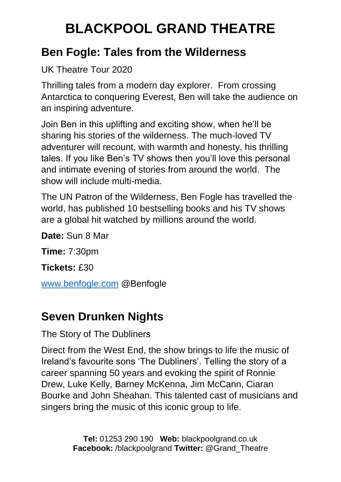## **Ben Fogle: Tales from the Wilderness**

UK Theatre Tour 2020

Thrilling tales from a modern day explorer. From crossing Antarctica to conquering Everest, Ben will take the audience on an inspiring adventure.

Join Ben in this uplifting and exciting show, when he'll be sharing his stories of the wilderness. The much-loved TV adventurer will recount, with warmth and honesty, his thrilling tales. If you like Ben's TV shows then you'll love this personal and intimate evening of stories from around the world. The show will include multi-media.

The UN Patron of the Wilderness, Ben Fogle has travelled the world, has published 10 bestselling books and his TV shows are a global hit watched by millions around the world.

**Date:** Sun 8 Mar

**Time:** 7:30pm

**Tickets:** £30

[www.benfogle.com](http://www.benfogle.com/) @Benfogle

## **Seven Drunken Nights**

The Story of The Dubliners

Direct from the West End, the show brings to life the music of Ireland's favourite sons 'The Dubliners'. Telling the story of a career spanning 50 years and evoking the spirit of Ronnie Drew, Luke Kelly, Barney McKenna, Jim McCann, Ciaran Bourke and John Sheahan. This talented cast of musicians and singers bring the music of this iconic group to life.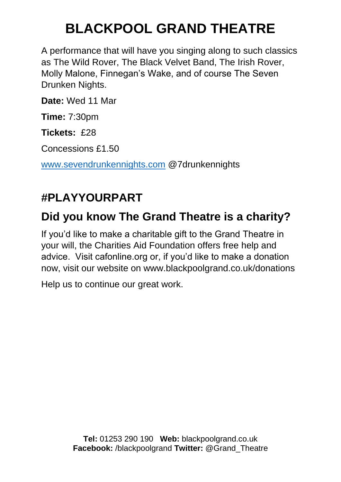A performance that will have you singing along to such classics as The Wild Rover, The Black Velvet Band, The Irish Rover, Molly Malone, Finnegan's Wake, and of course The Seven Drunken Nights.

**Date:** Wed 11 Mar

**Time:** 7:30pm

**Tickets:** £28

Concessions £1.50

[www.sevendrunkennights.com](http://www.sevendrunkennights.com/) @7drunkennights

## **#PLAYYOURPART**

## **Did you know The Grand Theatre is a charity?**

If you'd like to make a charitable gift to the Grand Theatre in your will, the Charities Aid Foundation offers free help and advice. Visit cafonline.org or, if you'd like to make a donation now, visit our website on www.blackpoolgrand.co.uk/donations

Help us to continue our great work.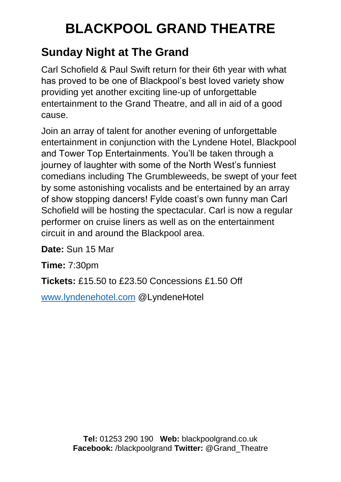## **Sunday Night at The Grand**

Carl Schofield & Paul Swift return for their 6th year with what has proved to be one of Blackpool's best loved variety show providing yet another exciting line-up of unforgettable entertainment to the Grand Theatre, and all in aid of a good cause.

Join an array of talent for another evening of unforgettable entertainment in conjunction with the Lyndene Hotel, Blackpool and Tower Top Entertainments. You'll be taken through a journey of laughter with some of the North West's funniest comedians including The Grumbleweeds, be swept of your feet by some astonishing vocalists and be entertained by an array of show stopping dancers! Fylde coast's own funny man Carl Schofield will be hosting the spectacular. Carl is now a regular performer on cruise liners as well as on the entertainment circuit in and around the Blackpool area.

**Date:** Sun 15 Mar

**Time:** 7:30pm

**Tickets:** £15.50 to £23.50 Concessions £1.50 Off

[www.lyndenehotel.com](http://www.lyndenehotel.com/) @LyndeneHotel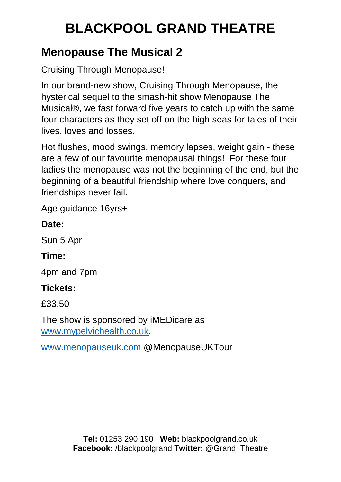## **Menopause The Musical 2**

Cruising Through Menopause!

In our brand-new show, Cruising Through Menopause, the hysterical sequel to the smash-hit show Menopause The Musical®, we fast forward five years to catch up with the same four characters as they set off on the high seas for tales of their lives, loves and losses.

Hot flushes, mood swings, memory lapses, weight gain - these are a few of our favourite menopausal things! For these four ladies the menopause was not the beginning of the end, but the beginning of a beautiful friendship where love conquers, and friendships never fail.

Age guidance 16yrs+

#### **Date:**

Sun 5 Apr

### **Time:**

4pm and 7pm

### **Tickets:**

£33.50

The show is sponsored by iMEDicare as [www.mypelvichealth.co.uk.](http://www.mypelvichealth.co.uk/)

[www.menopauseuk.com](http://www.menopauseuk.com/) @MenopauseUKTour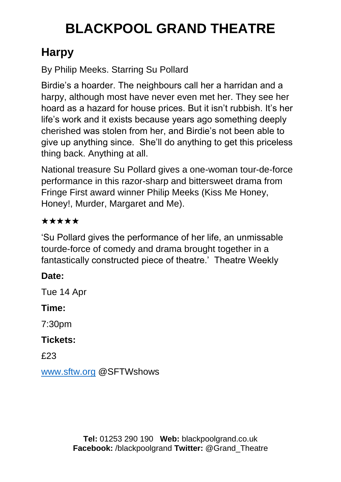## **Harpy**

By Philip Meeks. Starring Su Pollard

Birdie's a hoarder. The neighbours call her a harridan and a harpy, although most have never even met her. They see her hoard as a hazard for house prices. But it isn't rubbish. It's her life's work and it exists because years ago something deeply cherished was stolen from her, and Birdie's not been able to give up anything since. She'll do anything to get this priceless thing back. Anything at all.

National treasure Su Pollard gives a one-woman tour-de-force performance in this razor-sharp and bittersweet drama from Fringe First award winner Philip Meeks (Kiss Me Honey, Honey!, Murder, Margaret and Me).

## ★★★★★

'Su Pollard gives the performance of her life, an unmissable tourde-force of comedy and drama brought together in a fantastically constructed piece of theatre.' Theatre Weekly

## **Date:**

Tue 14 Apr

## **Time:**

7:30pm

## **Tickets:**

£23

[www.sftw.org](http://www.sftw.org/) @SFTWshows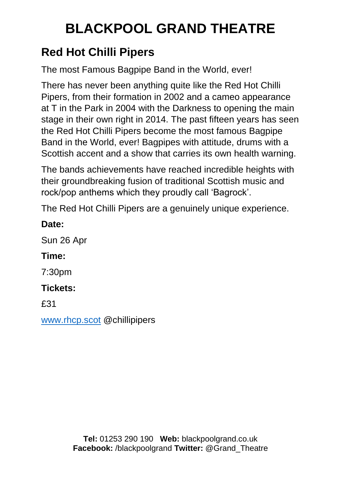## **Red Hot Chilli Pipers**

The most Famous Bagpipe Band in the World, ever!

There has never been anything quite like the Red Hot Chilli Pipers, from their formation in 2002 and a cameo appearance at T in the Park in 2004 with the Darkness to opening the main stage in their own right in 2014. The past fifteen years has seen the Red Hot Chilli Pipers become the most famous Bagpipe Band in the World, ever! Bagpipes with attitude, drums with a Scottish accent and a show that carries its own health warning.

The bands achievements have reached incredible heights with their groundbreaking fusion of traditional Scottish music and rock/pop anthems which they proudly call 'Bagrock'.

The Red Hot Chilli Pipers are a genuinely unique experience.

#### **Date:**

Sun 26 Apr

### **Time:**

7:30pm

## **Tickets:**

£31

[www.rhcp.scot](http://www.rhcp.scot/) @chillipipers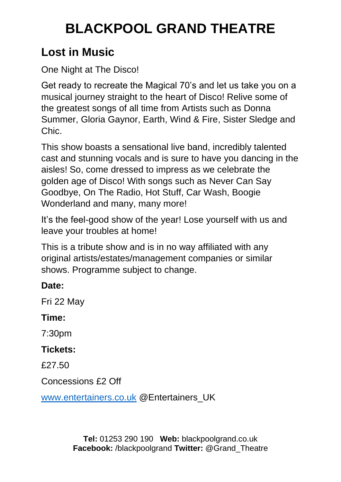## **Lost in Music**

One Night at The Disco!

Get ready to recreate the Magical 70's and let us take you on a musical journey straight to the heart of Disco! Relive some of the greatest songs of all time from Artists such as Donna Summer, Gloria Gaynor, Earth, Wind & Fire, Sister Sledge and Chic.

This show boasts a sensational live band, incredibly talented cast and stunning vocals and is sure to have you dancing in the aisles! So, come dressed to impress as we celebrate the golden age of Disco! With songs such as Never Can Say Goodbye, On The Radio, Hot Stuff, Car Wash, Boogie Wonderland and many, many more!

It's the feel-good show of the year! Lose yourself with us and leave your troubles at home!

This is a tribute show and is in no way affiliated with any original artists/estates/management companies or similar shows. Programme subject to change.

### **Date:**

Fri 22 May

### **Time:**

7:30pm

### **Tickets:**

£27.50

Concessions £2 Off

[www.entertainers.co.uk](http://www.entertainers.co.uk/) @Entertainers\_UK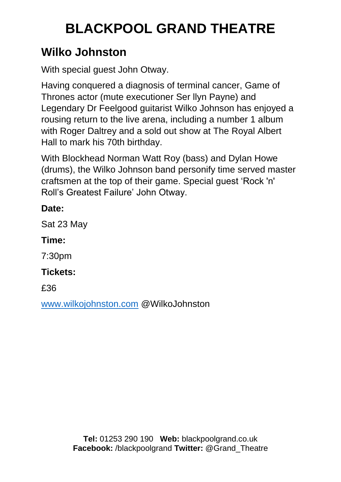## **Wilko Johnston**

With special guest John Otway.

Having conquered a diagnosis of terminal cancer, Game of Thrones actor (mute executioner Ser llyn Payne) and Legendary Dr Feelgood guitarist Wilko Johnson has enjoyed a rousing return to the live arena, including a number 1 album with Roger Daltrey and a sold out show at The Royal Albert Hall to mark his 70th birthday.

With Blockhead Norman Watt Roy (bass) and Dylan Howe (drums), the Wilko Johnson band personify time served master craftsmen at the top of their game. Special guest 'Rock 'n' Roll's Greatest Failure' John Otway.

### **Date:**

Sat 23 May

## **Time:**

7:30pm

## **Tickets:**

£36

[www.wilkojohnston.com](http://www.wilkojohnston.com/) @WilkoJohnston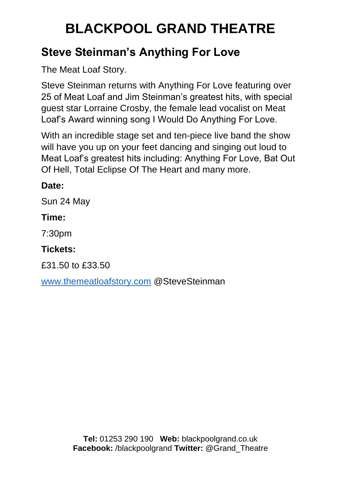## **Steve Steinman's Anything For Love**

The Meat Loaf Story.

Steve Steinman returns with Anything For Love featuring over 25 of Meat Loaf and Jim Steinman's greatest hits, with special guest star Lorraine Crosby, the female lead vocalist on Meat Loaf's Award winning song I Would Do Anything For Love.

With an incredible stage set and ten-piece live band the show will have you up on your feet dancing and singing out loud to Meat Loaf's greatest hits including: Anything For Love, Bat Out Of Hell, Total Eclipse Of The Heart and many more.

#### **Date:**

Sun 24 May

### **Time:**

7:30pm

### **Tickets:**

£31.50 to £33.50

[www.themeatloafstory.com](http://www.themeatloafstory.com/) @SteveSteinman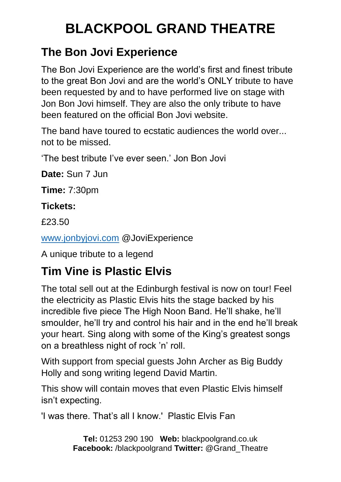## **The Bon Jovi Experience**

The Bon Jovi Experience are the world's first and finest tribute to the great Bon Jovi and are the world's ONLY tribute to have been requested by and to have performed live on stage with Jon Bon Jovi himself. They are also the only tribute to have been featured on the official Bon Jovi website.

The band have toured to ecstatic audiences the world over... not to be missed.

'The best tribute I've ever seen.' Jon Bon Jovi

**Date:** Sun 7 Jun

**Time:** 7:30pm

### **Tickets:**

£23.50

[www.jonbyjovi.com](http://www.jonbyjovi.com/) @JoviExperience

A unique tribute to a legend

## **Tim Vine is Plastic Elvis**

The total sell out at the Edinburgh festival is now on tour! Feel the electricity as Plastic Elvis hits the stage backed by his incredible five piece The High Noon Band. He'll shake, he'll smoulder, he'll try and control his hair and in the end he'll break your heart. Sing along with some of the King's greatest songs on a breathless night of rock 'n' roll.

With support from special guests John Archer as Big Buddy Holly and song writing legend David Martin.

This show will contain moves that even Plastic Elvis himself isn't expecting.

'I was there. That's all I know.' Plastic Elvis Fan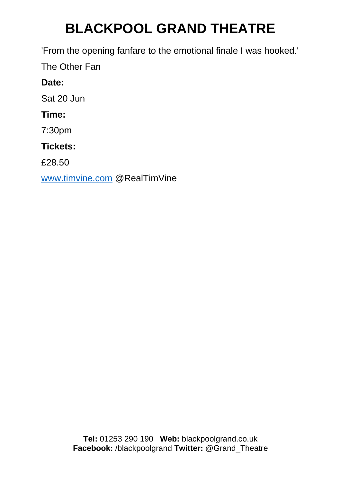'From the opening fanfare to the emotional finale I was hooked.'

The Other Fan

## **Date:**

Sat 20 Jun

## **Time:**

7:30pm

## **Tickets:**

£28.50

[www.timvine.com](http://www.timvine.com/) @RealTimVine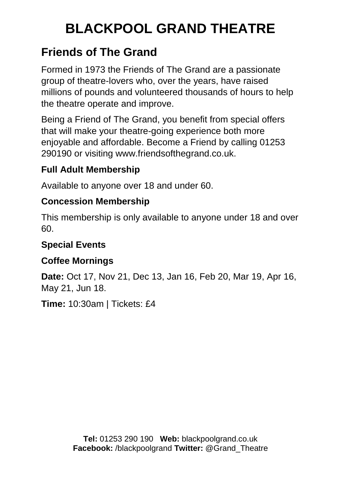## **Friends of The Grand**

Formed in 1973 the Friends of The Grand are a passionate group of theatre-lovers who, over the years, have raised millions of pounds and volunteered thousands of hours to help the theatre operate and improve.

Being a Friend of The Grand, you benefit from special offers that will make your theatre-going experience both more enjoyable and affordable. Become a Friend by calling 01253 290190 or visiting www.friendsofthegrand.co.uk.

## **Full Adult Membership**

Available to anyone over 18 and under 60.

### **Concession Membership**

This membership is only available to anyone under 18 and over 60.

## **Special Events**

## **Coffee Mornings**

**Date:** Oct 17, Nov 21, Dec 13, Jan 16, Feb 20, Mar 19, Apr 16, May 21, Jun 18.

**Time:** 10:30am | Tickets: £4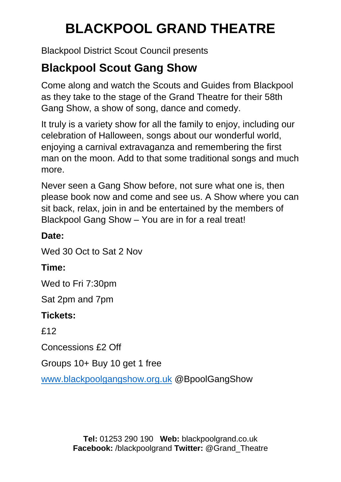Blackpool District Scout Council presents

## **Blackpool Scout Gang Show**

Come along and watch the Scouts and Guides from Blackpool as they take to the stage of the Grand Theatre for their 58th Gang Show, a show of song, dance and comedy.

It truly is a variety show for all the family to enjoy, including our celebration of Halloween, songs about our wonderful world, enjoying a carnival extravaganza and remembering the first man on the moon. Add to that some traditional songs and much more.

Never seen a Gang Show before, not sure what one is, then please book now and come and see us. A Show where you can sit back, relax, join in and be entertained by the members of Blackpool Gang Show – You are in for a real treat!

#### **Date:**

Wed 30 Oct to Sat 2 Nov

### **Time:**

Wed to Fri 7:30pm

Sat 2pm and 7pm

#### **Tickets:**

£12

Concessions £2 Off

Groups 10+ Buy 10 get 1 free

[www.blackpoolgangshow.org.uk](http://www.blackpoolgangshow.org.uk/) @BpoolGangShow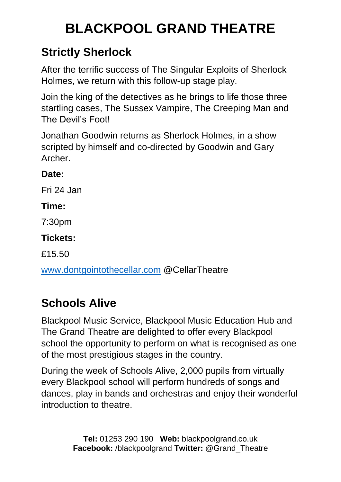## **Strictly Sherlock**

After the terrific success of The Singular Exploits of Sherlock Holmes, we return with this follow-up stage play.

Join the king of the detectives as he brings to life those three startling cases, The Sussex Vampire, The Creeping Man and The Devil's Foot!

Jonathan Goodwin returns as Sherlock Holmes, in a show scripted by himself and co-directed by Goodwin and Gary Archer.

#### **Date:**

Fri 24 Jan

#### **Time:**

7:30pm

#### **Tickets:**

£15.50

[www.dontgointothecellar.com](http://www.dontgointothecellar.com/) @CellarTheatre

## **Schools Alive**

Blackpool Music Service, Blackpool Music Education Hub and The Grand Theatre are delighted to offer every Blackpool school the opportunity to perform on what is recognised as one of the most prestigious stages in the country.

During the week of Schools Alive, 2,000 pupils from virtually every Blackpool school will perform hundreds of songs and dances, play in bands and orchestras and enjoy their wonderful introduction to theatre.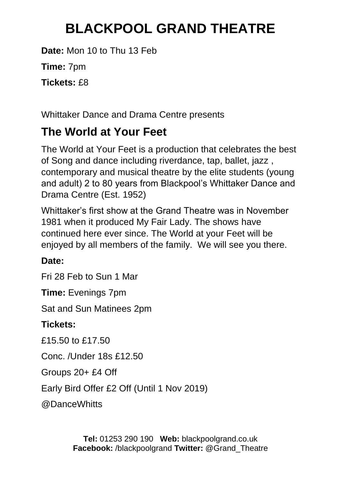**Date:** Mon 10 to Thu 13 Feb

**Time:** 7pm

**Tickets:** £8

Whittaker Dance and Drama Centre presents

### **The World at Your Feet**

The World at Your Feet is a production that celebrates the best of Song and dance including riverdance, tap, ballet, jazz , contemporary and musical theatre by the elite students (young and adult) 2 to 80 years from Blackpool's Whittaker Dance and Drama Centre (Est. 1952)

Whittaker's first show at the Grand Theatre was in November 1981 when it produced My Fair Lady. The shows have continued here ever since. The World at your Feet will be enjoyed by all members of the family. We will see you there.

#### **Date:**

Fri 28 Feb to Sun 1 Mar

**Time:** Evenings 7pm

Sat and Sun Matinees 2pm

#### **Tickets:**

£15.50 to £17.50

Conc. /Under 18s £12.50

Groups 20+ £4 Off

Early Bird Offer £2 Off (Until 1 Nov 2019)

@DanceWhitts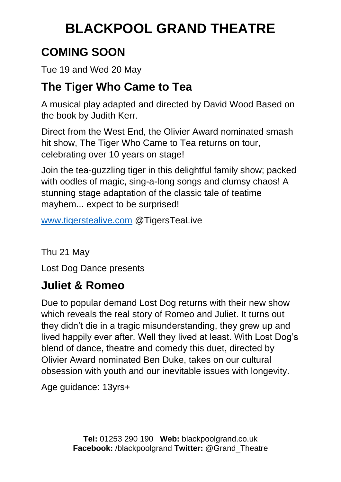## **COMING SOON**

Tue 19 and Wed 20 May

### **The Tiger Who Came to Tea**

A musical play adapted and directed by David Wood Based on the book by Judith Kerr.

Direct from the West End, the Olivier Award nominated smash hit show, The Tiger Who Came to Tea returns on tour, celebrating over 10 years on stage!

Join the tea-guzzling tiger in this delightful family show; packed with oodles of magic, sing-a-long songs and clumsy chaos! A stunning stage adaptation of the classic tale of teatime mayhem... expect to be surprised!

[www.tigerstealive.com](http://www.tigerstealive.com/) @TigersTeaLive

Thu 21 May Lost Dog Dance presents

## **Juliet & Romeo**

Due to popular demand Lost Dog returns with their new show which reveals the real story of Romeo and Juliet. It turns out they didn't die in a tragic misunderstanding, they grew up and lived happily ever after. Well they lived at least. With Lost Dog's blend of dance, theatre and comedy this duet, directed by Olivier Award nominated Ben Duke, takes on our cultural obsession with youth and our inevitable issues with longevity.

Age guidance: 13yrs+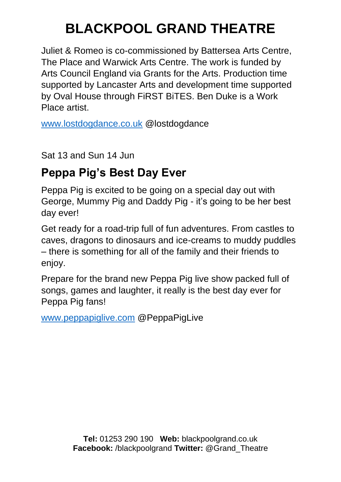Juliet & Romeo is co-commissioned by Battersea Arts Centre, The Place and Warwick Arts Centre. The work is funded by Arts Council England via Grants for the Arts. Production time supported by Lancaster Arts and development time supported by Oval House through FiRST BiTES. Ben Duke is a Work Place artist.

[www.lostdogdance.co.uk](http://www.lostdogdance.co.uk/) @lostdogdance

Sat 13 and Sun 14 Jun

### **Peppa Pig's Best Day Ever**

Peppa Pig is excited to be going on a special day out with George, Mummy Pig and Daddy Pig - it's going to be her best day ever!

Get ready for a road-trip full of fun adventures. From castles to caves, dragons to dinosaurs and ice-creams to muddy puddles – there is something for all of the family and their friends to enjoy.

Prepare for the brand new Peppa Pig live show packed full of songs, games and laughter, it really is the best day ever for Peppa Pig fans!

[www.peppapiglive.com](http://www.peppapiglive.com/) @PeppaPigLive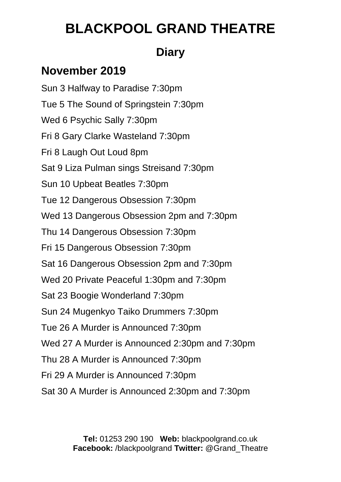### **Diary**

### **November 2019**

Sun 3 Halfway to Paradise 7:30pm Tue 5 The Sound of Springstein 7:30pm Wed 6 Psychic Sally 7:30pm Fri 8 Gary Clarke Wasteland 7:30pm Fri 8 Laugh Out Loud 8pm Sat 9 Liza Pulman sings Streisand 7:30pm Sun 10 Upbeat Beatles 7:30pm Tue 12 Dangerous Obsession 7:30pm Wed 13 Dangerous Obsession 2pm and 7:30pm Thu 14 Dangerous Obsession 7:30pm Fri 15 Dangerous Obsession 7:30pm Sat 16 Dangerous Obsession 2pm and 7:30pm Wed 20 Private Peaceful 1:30pm and 7:30pm Sat 23 Boogie Wonderland 7:30pm Sun 24 Mugenkyo Taiko Drummers 7:30pm Tue 26 A Murder is Announced 7:30pm Wed 27 A Murder is Announced 2:30pm and 7:30pm Thu 28 A Murder is Announced 7:30pm Fri 29 A Murder is Announced 7:30pm Sat 30 A Murder is Announced 2:30pm and 7:30pm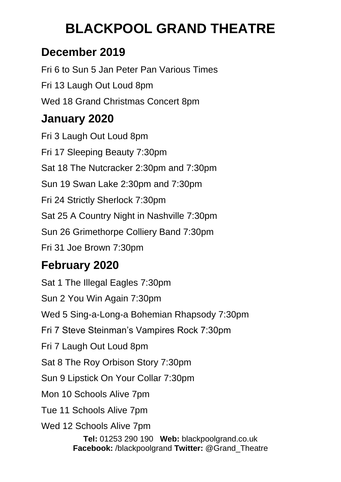### **December 2019**

Fri 6 to Sun 5 Jan Peter Pan Various Times Fri 13 Laugh Out Loud 8pm Wed 18 Grand Christmas Concert 8pm **January 2020** 

Fri 3 Laugh Out Loud 8pm Fri 17 Sleeping Beauty 7:30pm Sat 18 The Nutcracker 2:30pm and 7:30pm Sun 19 Swan Lake 2:30pm and 7:30pm Fri 24 Strictly Sherlock 7:30pm Sat 25 A Country Night in Nashville 7:30pm Sun 26 Grimethorpe Colliery Band 7:30pm Fri 31 Joe Brown 7:30pm

## **February 2020**

**Tel:** 01253 290 190 **Web:** blackpoolgrand.co.uk Sat 1 The Illegal Eagles 7:30pm Sun 2 You Win Again 7:30pm Wed 5 Sing-a-Long-a Bohemian Rhapsody 7:30pm Fri 7 Steve Steinman's Vampires Rock 7:30pm Fri 7 Laugh Out Loud 8pm Sat 8 The Roy Orbison Story 7:30pm Sun 9 Lipstick On Your Collar 7:30pm Mon 10 Schools Alive 7pm Tue 11 Schools Alive 7pm Wed 12 Schools Alive 7pm

**Facebook:** /blackpoolgrand **Twitter:** @Grand\_Theatre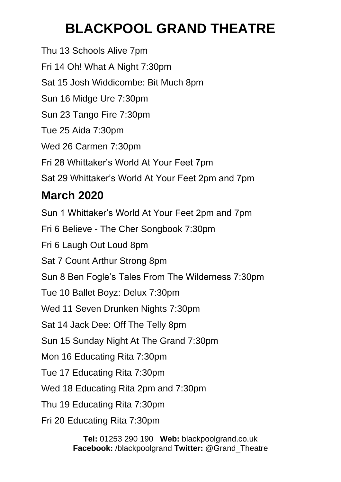Thu 13 Schools Alive 7pm Fri 14 Oh! What A Night 7:30pm Sat 15 Josh Widdicombe: Bit Much 8pm Sun 16 Midge Ure 7:30pm Sun 23 Tango Fire 7:30pm Tue 25 Aida 7:30pm Wed 26 Carmen 7:30pm Fri 28 Whittaker's World At Your Feet 7pm Sat 29 Whittaker's World At Your Feet 2pm and 7pm **March 2020**  Sun 1 Whittaker's World At Your Feet 2pm and 7pm Fri 6 Believe - The Cher Songbook 7:30pm Fri 6 Laugh Out Loud 8pm Sat 7 Count Arthur Strong 8pm Sun 8 Ben Fogle's Tales From The Wilderness 7:30pm Tue 10 Ballet Boyz: Delux 7:30pm Wed 11 Seven Drunken Nights 7:30pm Sat 14 Jack Dee: Off The Telly 8pm Sun 15 Sunday Night At The Grand 7:30pm Mon 16 Educating Rita 7:30pm Tue 17 Educating Rita 7:30pm Wed 18 Educating Rita 2pm and 7:30pm Thu 19 Educating Rita 7:30pm Fri 20 Educating Rita 7:30pm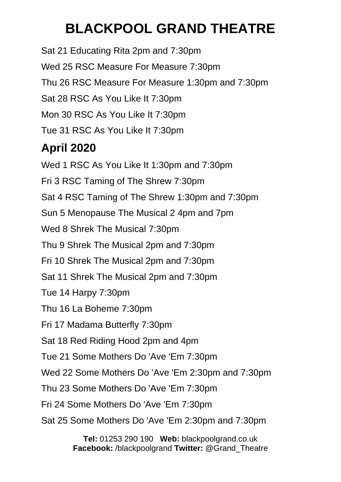Sat 21 Educating Rita 2pm and 7:30pm Wed 25 RSC Measure For Measure 7:30pm Thu 26 RSC Measure For Measure 1:30pm and 7:30pm Sat 28 RSC As You Like It 7:30pm Mon 30 RSC As You Like It 7:30pm Tue 31 RSC As You Like It 7:30pm

## **April 2020**

Wed 1 RSC As You Like It 1:30pm and 7:30pm Fri 3 RSC Taming of The Shrew 7:30pm Sat 4 RSC Taming of The Shrew 1:30pm and 7:30pm Sun 5 Menopause The Musical 2 4pm and 7pm Wed 8 Shrek The Musical 7:30pm Thu 9 Shrek The Musical 2pm and 7:30pm Fri 10 Shrek The Musical 2pm and 7:30pm Sat 11 Shrek The Musical 2pm and 7:30pm Tue 14 Harpy 7:30pm Thu 16 La Boheme 7:30pm Fri 17 Madama Butterfly 7:30pm Sat 18 Red Riding Hood 2pm and 4pm Tue 21 Some Mothers Do 'Ave 'Em 7:30pm Wed 22 Some Mothers Do 'Ave 'Em 2:30pm and 7:30pm Thu 23 Some Mothers Do 'Ave 'Em 7:30pm Fri 24 Some Mothers Do 'Ave 'Em 7:30pm Sat 25 Some Mothers Do 'Ave 'Em 2:30pm and 7:30pm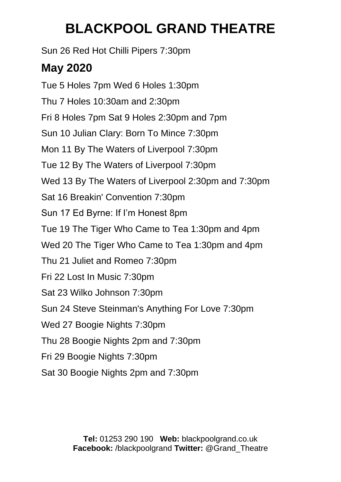Sun 26 Red Hot Chilli Pipers 7:30pm

### **May 2020**

Tue 5 Holes 7pm Wed 6 Holes 1:30pm Thu 7 Holes 10:30am and 2:30pm Fri 8 Holes 7pm Sat 9 Holes 2:30pm and 7pm Sun 10 Julian Clary: Born To Mince 7:30pm Mon 11 By The Waters of Liverpool 7:30pm Tue 12 By The Waters of Liverpool 7:30pm Wed 13 By The Waters of Liverpool 2:30pm and 7:30pm Sat 16 Breakin' Convention 7:30pm Sun 17 Ed Byrne: If I'm Honest 8pm Tue 19 The Tiger Who Came to Tea 1:30pm and 4pm Wed 20 The Tiger Who Came to Tea 1:30pm and 4pm Thu 21 Juliet and Romeo 7:30pm Fri 22 Lost In Music 7:30pm Sat 23 Wilko Johnson 7:30pm Sun 24 Steve Steinman's Anything For Love 7:30pm Wed 27 Boogie Nights 7:30pm Thu 28 Boogie Nights 2pm and 7:30pm Fri 29 Boogie Nights 7:30pm Sat 30 Boogie Nights 2pm and 7:30pm